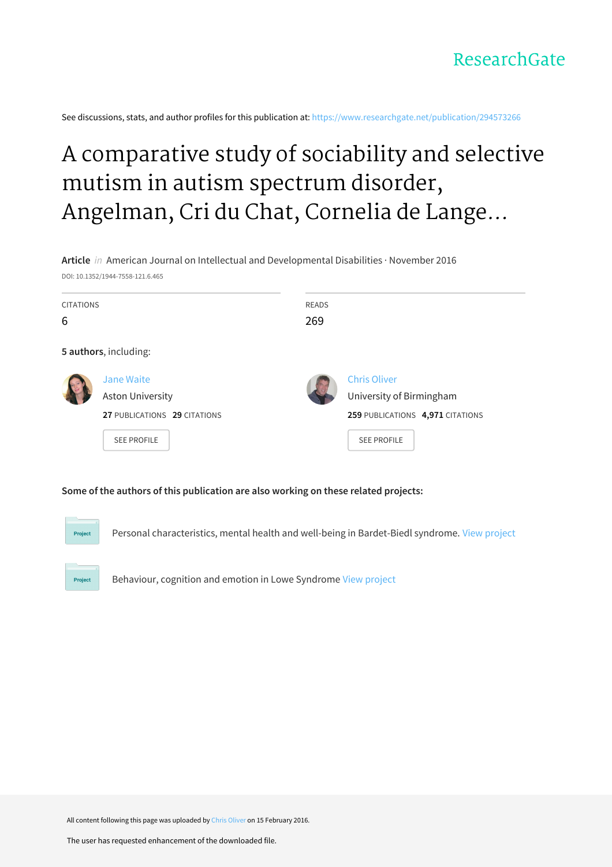See discussions, stats, and author profiles for this publication at: [https://www.researchgate.net/publication/294573266](https://www.researchgate.net/publication/294573266_A_comparative_study_of_sociability_and_selective_mutism_in_autism_spectrum_disorder_Angelman_Cri_du_Chat_Cornelia_de_Lange_Fragile_X_and_Rubinstein-Taybi_syndromes?enrichId=rgreq-f049346944bcfa02e53689820a225d70-XXX&enrichSource=Y292ZXJQYWdlOzI5NDU3MzI2NjtBUzozMjkzNjgxNzkxMDE2OTZAMTQ1NTUzODkwMTI1Mg%3D%3D&el=1_x_2&_esc=publicationCoverPdf)

# A comparative study of sociability and selective mutism in autism spectrum disorder, Angelman, Cri du Chat, Cornelia de Lange...

**Article** in American Journal on Intellectual and Developmental Disabilities · November 2016

DOI: 10.1352/1944-7558-121.6.465

| <b>CITATIONS</b><br>6 |                                                                                                    | <b>READS</b><br>269 |                                                                                                           |
|-----------------------|----------------------------------------------------------------------------------------------------|---------------------|-----------------------------------------------------------------------------------------------------------|
|                       | 5 authors, including:                                                                              |                     |                                                                                                           |
|                       | <b>Jane Waite</b><br><b>Aston University</b><br>27 PUBLICATIONS 29 CITATIONS<br><b>SEE PROFILE</b> |                     | <b>Chris Oliver</b><br>University of Birmingham<br>259 PUBLICATIONS 4,971 CITATIONS<br><b>SEE PROFILE</b> |

#### **Some of the authors of this publication are also working on these related projects:**

Personal characteristics, mental health and well-being in Bardet-Biedl syndrome. View [project](https://www.researchgate.net/project/Personal-characteristics-mental-health-and-well-being-in-Bardet-Biedl-syndrome?enrichId=rgreq-f049346944bcfa02e53689820a225d70-XXX&enrichSource=Y292ZXJQYWdlOzI5NDU3MzI2NjtBUzozMjkzNjgxNzkxMDE2OTZAMTQ1NTUzODkwMTI1Mg%3D%3D&el=1_x_9&_esc=publicationCoverPdf)

Project

Project

Behaviour, cognition and emotion in Lowe Syndrome View [project](https://www.researchgate.net/project/Behaviour-cognition-and-emotion-in-Lowe-Syndrome?enrichId=rgreq-f049346944bcfa02e53689820a225d70-XXX&enrichSource=Y292ZXJQYWdlOzI5NDU3MzI2NjtBUzozMjkzNjgxNzkxMDE2OTZAMTQ1NTUzODkwMTI1Mg%3D%3D&el=1_x_9&_esc=publicationCoverPdf)

All content following this page was uploaded by Chris [Oliver](https://www.researchgate.net/profile/Chris_Oliver2?enrichId=rgreq-f049346944bcfa02e53689820a225d70-XXX&enrichSource=Y292ZXJQYWdlOzI5NDU3MzI2NjtBUzozMjkzNjgxNzkxMDE2OTZAMTQ1NTUzODkwMTI1Mg%3D%3D&el=1_x_10&_esc=publicationCoverPdf) on 15 February 2016.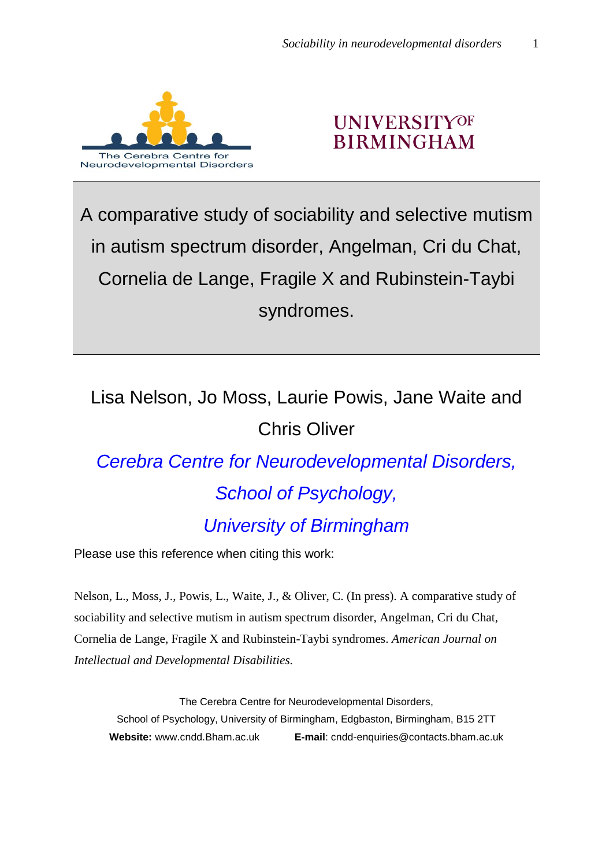

## **UNIVERSITYOF BIRMINGHAM**

A comparative study of sociability and selective mutism in autism spectrum disorder, Angelman, Cri du Chat, Cornelia de Lange, Fragile X and Rubinstein-Taybi syndromes.

## Lisa Nelson, Jo Moss, Laurie Powis, Jane Waite and Chris Oliver

# *Cerebra Centre for Neurodevelopmental Disorders, School of Psychology, University of Birmingham*

Please use this reference when citing this work:

Nelson, L., Moss, J., Powis, L., Waite, J., & Oliver, C. (In press). A comparative study of sociability and selective mutism in autism spectrum disorder, Angelman, Cri du Chat, Cornelia de Lange, Fragile X and Rubinstein-Taybi syndromes. *American Journal on Intellectual and Developmental Disabilities.*

The Cerebra Centre for Neurodevelopmental Disorders, School of Psychology, University of Birmingham, Edgbaston, Birmingham, B15 2TT **Website:** www.cndd.Bham.ac.uk **E-mail**: cndd-enquiries@contacts.bham.ac.uk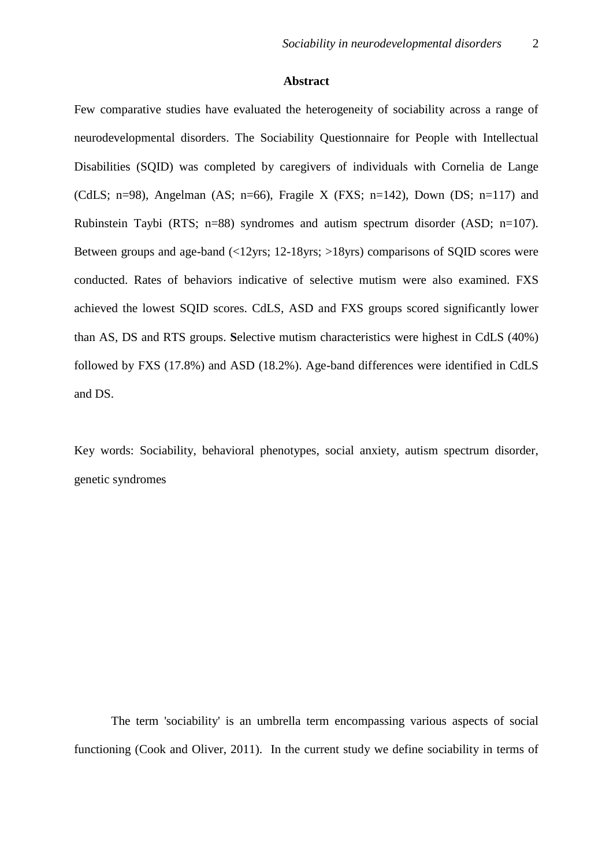#### **Abstract**

Few comparative studies have evaluated the heterogeneity of sociability across a range of neurodevelopmental disorders. The Sociability Questionnaire for People with Intellectual Disabilities (SQID) was completed by caregivers of individuals with Cornelia de Lange (CdLS; n=98), Angelman (AS; n=66), Fragile X (FXS; n=142), Down (DS; n=117) and Rubinstein Taybi (RTS; n=88) syndromes and autism spectrum disorder (ASD; n=107). Between groups and age-band (<12yrs; 12-18yrs; >18yrs) comparisons of SQID scores were conducted. Rates of behaviors indicative of selective mutism were also examined. FXS achieved the lowest SQID scores. CdLS, ASD and FXS groups scored significantly lower than AS, DS and RTS groups. **S**elective mutism characteristics were highest in CdLS (40%) followed by FXS (17.8%) and ASD (18.2%). Age-band differences were identified in CdLS and DS.

Key words: Sociability, behavioral phenotypes, social anxiety, autism spectrum disorder, genetic syndromes

The term 'sociability' is an umbrella term encompassing various aspects of social functioning (Cook and Oliver, 2011). In the current study we define sociability in terms of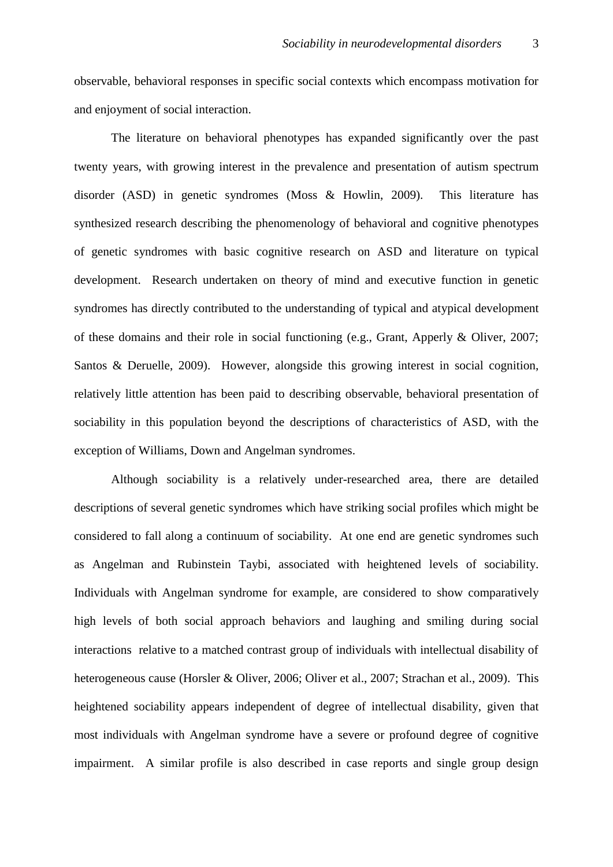observable, behavioral responses in specific social contexts which encompass motivation for and enjoyment of social interaction.

The literature on behavioral phenotypes has expanded significantly over the past twenty years, with growing interest in the prevalence and presentation of autism spectrum disorder (ASD) in genetic syndromes (Moss & Howlin, 2009). This literature has synthesized research describing the phenomenology of behavioral and cognitive phenotypes of genetic syndromes with basic cognitive research on ASD and literature on typical development. Research undertaken on theory of mind and executive function in genetic syndromes has directly contributed to the understanding of typical and atypical development of these domains and their role in social functioning (e.g., Grant, Apperly & Oliver, 2007; Santos & Deruelle, 2009). However, alongside this growing interest in social cognition, relatively little attention has been paid to describing observable, behavioral presentation of sociability in this population beyond the descriptions of characteristics of ASD, with the exception of Williams, Down and Angelman syndromes.

Although sociability is a relatively under-researched area, there are detailed descriptions of several genetic syndromes which have striking social profiles which might be considered to fall along a continuum of sociability. At one end are genetic syndromes such as Angelman and Rubinstein Taybi, associated with heightened levels of sociability. Individuals with Angelman syndrome for example, are considered to show comparatively high levels of both social approach behaviors and laughing and smiling during social interactions relative to a matched contrast group of individuals with intellectual disability of heterogeneous cause (Horsler & Oliver, 2006; Oliver et al., 2007; Strachan et al., 2009). This heightened sociability appears independent of degree of intellectual disability, given that most individuals with Angelman syndrome have a severe or profound degree of cognitive impairment. A similar profile is also described in case reports and single group design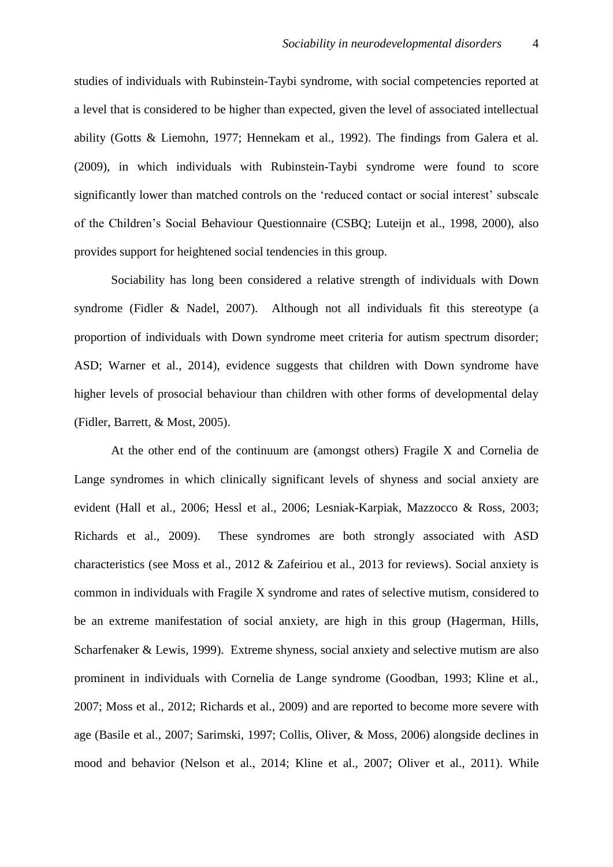studies of individuals with Rubinstein-Taybi syndrome, with social competencies reported at a level that is considered to be higher than expected, given the level of associated intellectual ability (Gotts & Liemohn, 1977; Hennekam et al., 1992). The findings from Galera et al. (2009), in which individuals with Rubinstein-Taybi syndrome were found to score significantly lower than matched controls on the 'reduced contact or social interest' subscale of the Children's Social Behaviour Questionnaire (CSBQ; Luteijn et al., 1998, 2000), also provides support for heightened social tendencies in this group.

Sociability has long been considered a relative strength of individuals with Down syndrome (Fidler & Nadel, 2007). Although not all individuals fit this stereotype (a proportion of individuals with Down syndrome meet criteria for autism spectrum disorder; ASD; Warner et al., 2014), evidence suggests that children with Down syndrome have higher levels of prosocial behaviour than children with other forms of developmental delay (Fidler, Barrett, & Most, 2005).

At the other end of the continuum are (amongst others) Fragile X and Cornelia de Lange syndromes in which clinically significant levels of shyness and social anxiety are evident (Hall et al., 2006; Hessl et al., 2006; Lesniak-Karpiak, Mazzocco & Ross, 2003; Richards et al., 2009). These syndromes are both strongly associated with ASD characteristics (see Moss et al., 2012 & Zafeiriou et al., 2013 for reviews). Social anxiety is common in individuals with Fragile X syndrome and rates of selective mutism, considered to be an extreme manifestation of social anxiety, are high in this group (Hagerman, Hills, Scharfenaker & Lewis, 1999). Extreme shyness, social anxiety and selective mutism are also prominent in individuals with Cornelia de Lange syndrome (Goodban, 1993; Kline et al., 2007; Moss et al., 2012; Richards et al., 2009) and are reported to become more severe with age (Basile et al., 2007; Sarimski, 1997; Collis, Oliver, & Moss, 2006) alongside declines in mood and behavior (Nelson et al., 2014; Kline et al., 2007; Oliver et al., 2011). While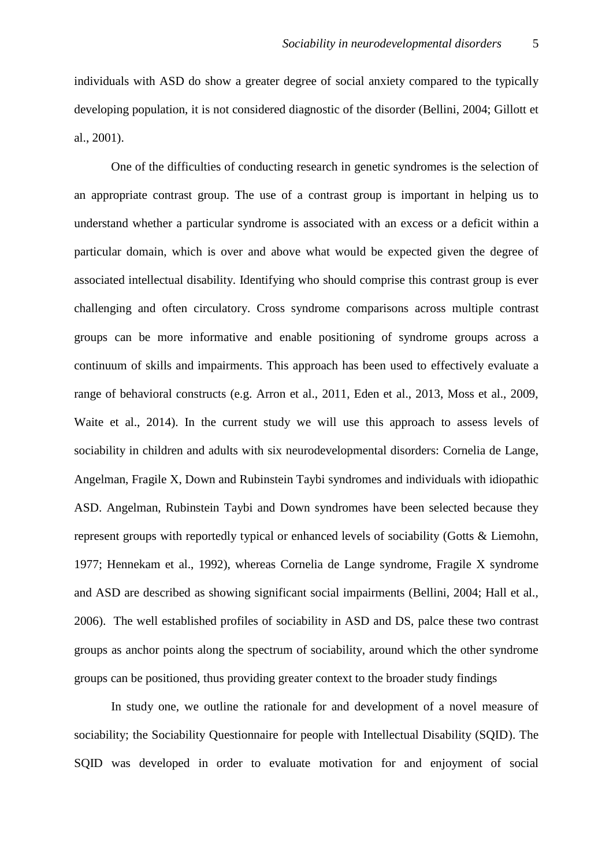individuals with ASD do show a greater degree of social anxiety compared to the typically developing population, it is not considered diagnostic of the disorder (Bellini, 2004; Gillott et al., 2001).

One of the difficulties of conducting research in genetic syndromes is the selection of an appropriate contrast group. The use of a contrast group is important in helping us to understand whether a particular syndrome is associated with an excess or a deficit within a particular domain, which is over and above what would be expected given the degree of associated intellectual disability. Identifying who should comprise this contrast group is ever challenging and often circulatory. Cross syndrome comparisons across multiple contrast groups can be more informative and enable positioning of syndrome groups across a continuum of skills and impairments. This approach has been used to effectively evaluate a range of behavioral constructs (e.g. Arron et al., 2011, Eden et al., 2013, Moss et al., 2009, Waite et al., 2014). In the current study we will use this approach to assess levels of sociability in children and adults with six neurodevelopmental disorders: Cornelia de Lange, Angelman, Fragile X, Down and Rubinstein Taybi syndromes and individuals with idiopathic ASD. Angelman, Rubinstein Taybi and Down syndromes have been selected because they represent groups with reportedly typical or enhanced levels of sociability (Gotts & Liemohn, 1977; Hennekam et al., 1992), whereas Cornelia de Lange syndrome, Fragile X syndrome and ASD are described as showing significant social impairments (Bellini, 2004; Hall et al., 2006). The well established profiles of sociability in ASD and DS, palce these two contrast groups as anchor points along the spectrum of sociability, around which the other syndrome groups can be positioned, thus providing greater context to the broader study findings

In study one, we outline the rationale for and development of a novel measure of sociability; the Sociability Questionnaire for people with Intellectual Disability (SQID). The SQID was developed in order to evaluate motivation for and enjoyment of social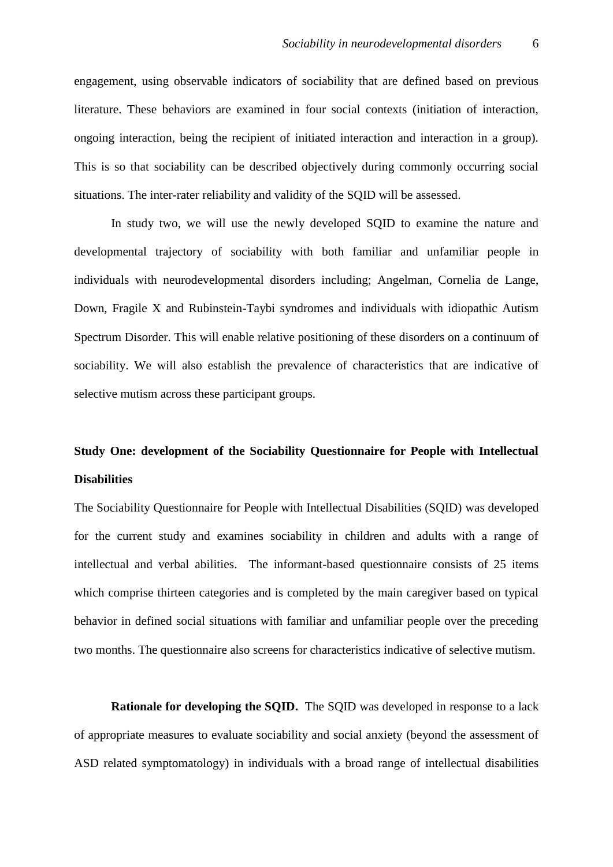engagement, using observable indicators of sociability that are defined based on previous literature. These behaviors are examined in four social contexts (initiation of interaction, ongoing interaction, being the recipient of initiated interaction and interaction in a group). This is so that sociability can be described objectively during commonly occurring social situations. The inter-rater reliability and validity of the SQID will be assessed.

In study two, we will use the newly developed SQID to examine the nature and developmental trajectory of sociability with both familiar and unfamiliar people in individuals with neurodevelopmental disorders including; Angelman, Cornelia de Lange, Down, Fragile X and Rubinstein-Taybi syndromes and individuals with idiopathic Autism Spectrum Disorder. This will enable relative positioning of these disorders on a continuum of sociability. We will also establish the prevalence of characteristics that are indicative of selective mutism across these participant groups.

## **Study One: development of the Sociability Questionnaire for People with Intellectual Disabilities**

The Sociability Questionnaire for People with Intellectual Disabilities (SQID) was developed for the current study and examines sociability in children and adults with a range of intellectual and verbal abilities. The informant-based questionnaire consists of 25 items which comprise thirteen categories and is completed by the main caregiver based on typical behavior in defined social situations with familiar and unfamiliar people over the preceding two months. The questionnaire also screens for characteristics indicative of selective mutism.

**Rationale for developing the SQID.** The SQID was developed in response to a lack of appropriate measures to evaluate sociability and social anxiety (beyond the assessment of ASD related symptomatology) in individuals with a broad range of intellectual disabilities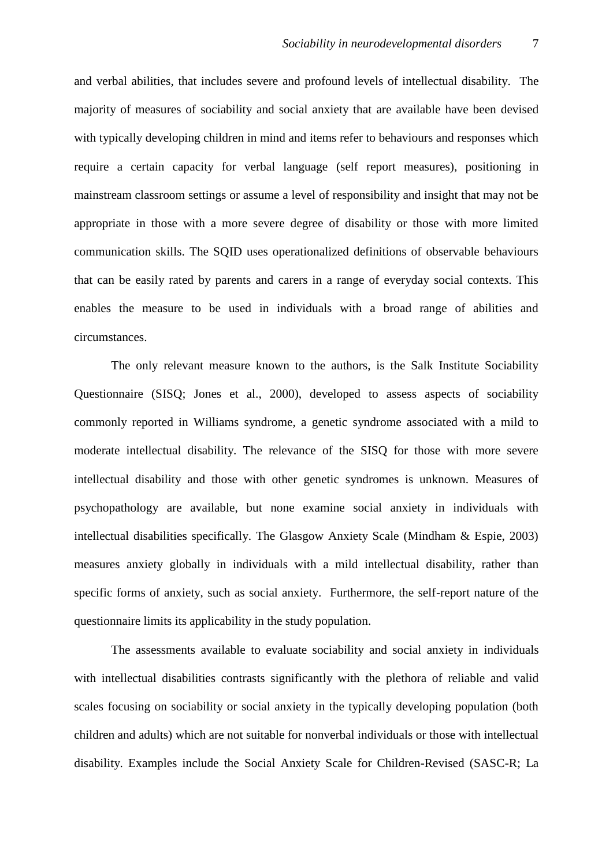and verbal abilities, that includes severe and profound levels of intellectual disability. The majority of measures of sociability and social anxiety that are available have been devised with typically developing children in mind and items refer to behaviours and responses which require a certain capacity for verbal language (self report measures), positioning in mainstream classroom settings or assume a level of responsibility and insight that may not be appropriate in those with a more severe degree of disability or those with more limited communication skills. The SQID uses operationalized definitions of observable behaviours that can be easily rated by parents and carers in a range of everyday social contexts. This enables the measure to be used in individuals with a broad range of abilities and circumstances.

The only relevant measure known to the authors, is the Salk Institute Sociability Questionnaire (SISQ; Jones et al., 2000), developed to assess aspects of sociability commonly reported in Williams syndrome, a genetic syndrome associated with a mild to moderate intellectual disability. The relevance of the SISQ for those with more severe intellectual disability and those with other genetic syndromes is unknown. Measures of psychopathology are available, but none examine social anxiety in individuals with intellectual disabilities specifically. The Glasgow Anxiety Scale (Mindham & Espie, 2003) measures anxiety globally in individuals with a mild intellectual disability, rather than specific forms of anxiety, such as social anxiety. Furthermore, the self-report nature of the questionnaire limits its applicability in the study population.

The assessments available to evaluate sociability and social anxiety in individuals with intellectual disabilities contrasts significantly with the plethora of reliable and valid scales focusing on sociability or social anxiety in the typically developing population (both children and adults) which are not suitable for nonverbal individuals or those with intellectual disability. Examples include the Social Anxiety Scale for Children-Revised (SASC-R; La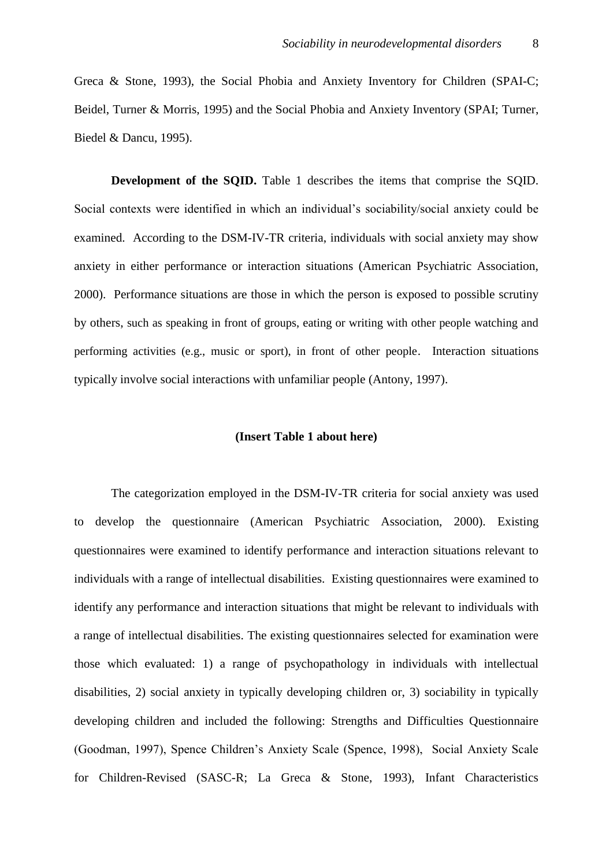Greca & Stone, 1993), the Social Phobia and Anxiety Inventory for Children (SPAI-C; Beidel, Turner & Morris, 1995) and the Social Phobia and Anxiety Inventory (SPAI; Turner, Biedel & Dancu, 1995).

**Development of the SQID.** Table 1 describes the items that comprise the SQID. Social contexts were identified in which an individual's sociability/social anxiety could be examined. According to the DSM-IV-TR criteria, individuals with social anxiety may show anxiety in either performance or interaction situations (American Psychiatric Association, 2000). Performance situations are those in which the person is exposed to possible scrutiny by others, such as speaking in front of groups, eating or writing with other people watching and performing activities (e.g., music or sport), in front of other people. Interaction situations typically involve social interactions with unfamiliar people (Antony, 1997).

#### **(Insert Table 1 about here)**

The categorization employed in the DSM-IV-TR criteria for social anxiety was used to develop the questionnaire (American Psychiatric Association, 2000). Existing questionnaires were examined to identify performance and interaction situations relevant to individuals with a range of intellectual disabilities. Existing questionnaires were examined to identify any performance and interaction situations that might be relevant to individuals with a range of intellectual disabilities. The existing questionnaires selected for examination were those which evaluated: 1) a range of psychopathology in individuals with intellectual disabilities, 2) social anxiety in typically developing children or, 3) sociability in typically developing children and included the following: Strengths and Difficulties Questionnaire (Goodman, 1997), Spence Children's Anxiety Scale (Spence, 1998), Social Anxiety Scale for Children-Revised (SASC-R; La Greca & Stone, 1993), Infant Characteristics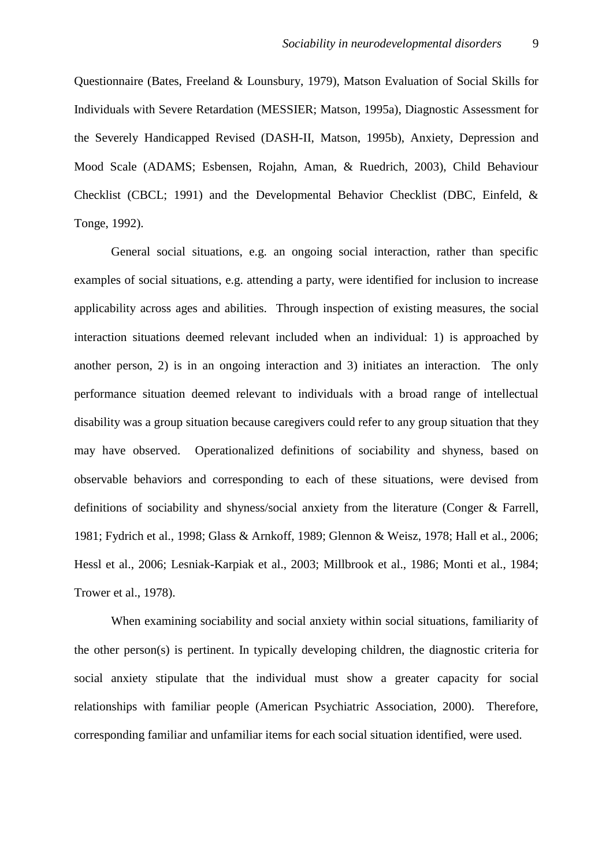Questionnaire (Bates, Freeland & Lounsbury, 1979), Matson Evaluation of Social Skills for Individuals with Severe Retardation (MESSIER; Matson, 1995a), Diagnostic Assessment for the Severely Handicapped Revised (DASH-II, Matson, 1995b), Anxiety, Depression and Mood Scale (ADAMS; Esbensen, Rojahn, Aman, & Ruedrich, 2003), Child Behaviour Checklist (CBCL; 1991) and the Developmental Behavior Checklist (DBC, Einfeld, & Tonge, 1992).

General social situations, e.g. an ongoing social interaction, rather than specific examples of social situations, e.g. attending a party, were identified for inclusion to increase applicability across ages and abilities. Through inspection of existing measures, the social interaction situations deemed relevant included when an individual: 1) is approached by another person, 2) is in an ongoing interaction and 3) initiates an interaction. The only performance situation deemed relevant to individuals with a broad range of intellectual disability was a group situation because caregivers could refer to any group situation that they may have observed. Operationalized definitions of sociability and shyness, based on observable behaviors and corresponding to each of these situations, were devised from definitions of sociability and shyness/social anxiety from the literature (Conger & Farrell, 1981; Fydrich et al., 1998; Glass & Arnkoff, 1989; Glennon & Weisz, 1978; Hall et al., 2006; Hessl et al., 2006; Lesniak-Karpiak et al., 2003; Millbrook et al., 1986; Monti et al., 1984; Trower et al., 1978).

When examining sociability and social anxiety within social situations, familiarity of the other person(s) is pertinent. In typically developing children, the diagnostic criteria for social anxiety stipulate that the individual must show a greater capacity for social relationships with familiar people (American Psychiatric Association, 2000). Therefore, corresponding familiar and unfamiliar items for each social situation identified, were used.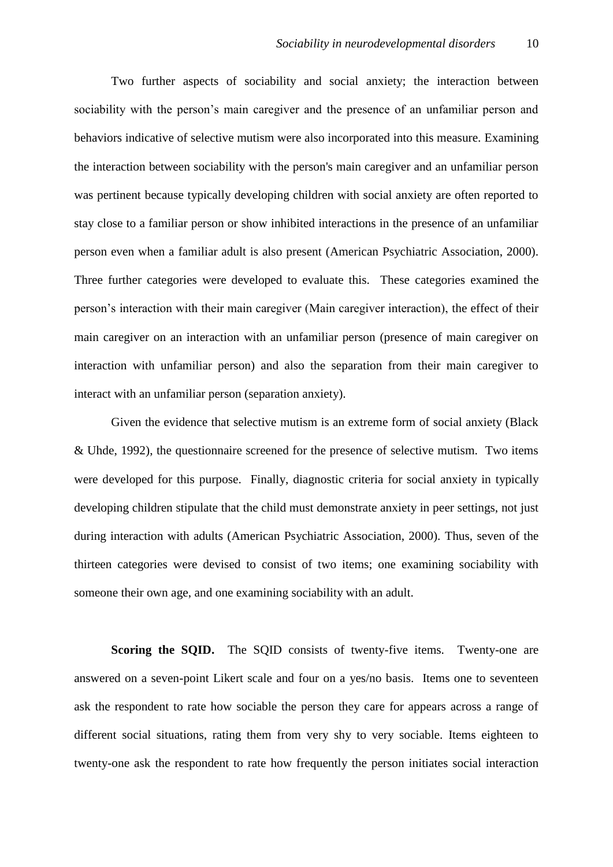Two further aspects of sociability and social anxiety; the interaction between sociability with the person's main caregiver and the presence of an unfamiliar person and behaviors indicative of selective mutism were also incorporated into this measure. Examining the interaction between sociability with the person's main caregiver and an unfamiliar person was pertinent because typically developing children with social anxiety are often reported to stay close to a familiar person or show inhibited interactions in the presence of an unfamiliar person even when a familiar adult is also present (American Psychiatric Association, 2000). Three further categories were developed to evaluate this. These categories examined the person's interaction with their main caregiver (Main caregiver interaction), the effect of their main caregiver on an interaction with an unfamiliar person (presence of main caregiver on interaction with unfamiliar person) and also the separation from their main caregiver to interact with an unfamiliar person (separation anxiety).

Given the evidence that selective mutism is an extreme form of social anxiety (Black & Uhde, 1992), the questionnaire screened for the presence of selective mutism. Two items were developed for this purpose. Finally, diagnostic criteria for social anxiety in typically developing children stipulate that the child must demonstrate anxiety in peer settings, not just during interaction with adults (American Psychiatric Association, 2000). Thus, seven of the thirteen categories were devised to consist of two items; one examining sociability with someone their own age, and one examining sociability with an adult.

**Scoring the SOID.** The SOID consists of twenty-five items. Twenty-one are answered on a seven-point Likert scale and four on a yes/no basis. Items one to seventeen ask the respondent to rate how sociable the person they care for appears across a range of different social situations, rating them from very shy to very sociable. Items eighteen to twenty-one ask the respondent to rate how frequently the person initiates social interaction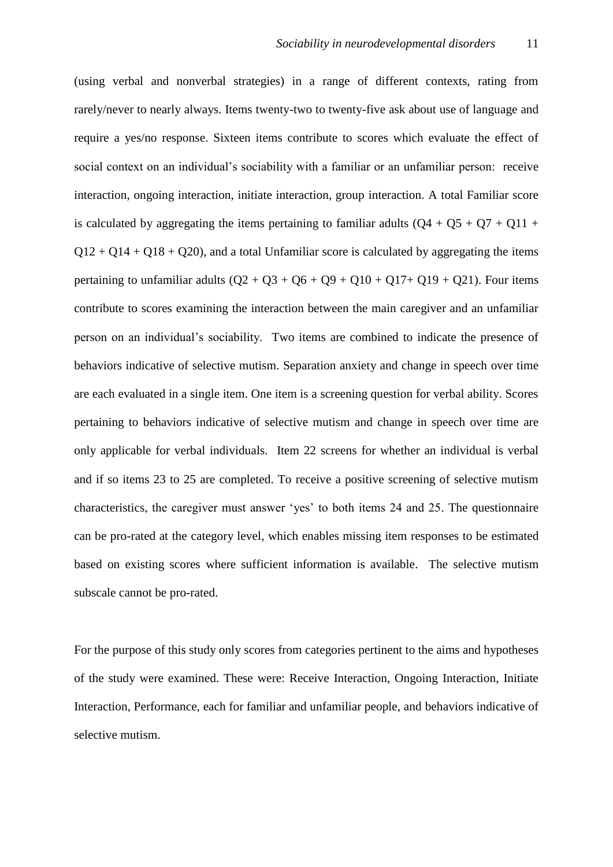(using verbal and nonverbal strategies) in a range of different contexts, rating from rarely/never to nearly always. Items twenty-two to twenty-five ask about use of language and require a yes/no response. Sixteen items contribute to scores which evaluate the effect of social context on an individual's sociability with a familiar or an unfamiliar person: receive interaction, ongoing interaction, initiate interaction, group interaction. A total Familiar score is calculated by aggregating the items pertaining to familiar adults  $(Q4 + Q5 + Q7 + Q11 +$  $Q12 + Q14 + Q18 + Q20$ , and a total Unfamiliar score is calculated by aggregating the items pertaining to unfamiliar adults  $(Q2 + Q3 + Q6 + Q9 + Q10 + Q17 + Q19 + Q21)$ . Four items contribute to scores examining the interaction between the main caregiver and an unfamiliar person on an individual's sociability. Two items are combined to indicate the presence of behaviors indicative of selective mutism. Separation anxiety and change in speech over time are each evaluated in a single item. One item is a screening question for verbal ability. Scores pertaining to behaviors indicative of selective mutism and change in speech over time are only applicable for verbal individuals. Item 22 screens for whether an individual is verbal and if so items 23 to 25 are completed. To receive a positive screening of selective mutism characteristics, the caregiver must answer 'yes' to both items 24 and 25. The questionnaire can be pro-rated at the category level, which enables missing item responses to be estimated based on existing scores where sufficient information is available. The selective mutism subscale cannot be pro-rated.

For the purpose of this study only scores from categories pertinent to the aims and hypotheses of the study were examined. These were: Receive Interaction, Ongoing Interaction, Initiate Interaction, Performance, each for familiar and unfamiliar people, and behaviors indicative of selective mutism.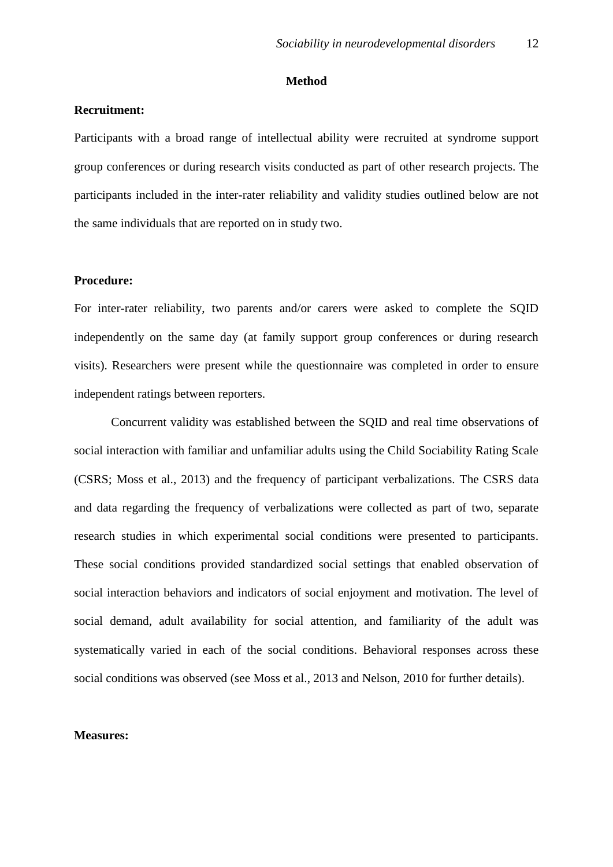#### **Method**

#### **Recruitment:**

Participants with a broad range of intellectual ability were recruited at syndrome support group conferences or during research visits conducted as part of other research projects. The participants included in the inter-rater reliability and validity studies outlined below are not the same individuals that are reported on in study two.

#### **Procedure:**

For inter-rater reliability, two parents and/or carers were asked to complete the SQID independently on the same day (at family support group conferences or during research visits). Researchers were present while the questionnaire was completed in order to ensure independent ratings between reporters.

Concurrent validity was established between the SQID and real time observations of social interaction with familiar and unfamiliar adults using the Child Sociability Rating Scale (CSRS; Moss et al., 2013) and the frequency of participant verbalizations. The CSRS data and data regarding the frequency of verbalizations were collected as part of two, separate research studies in which experimental social conditions were presented to participants. These social conditions provided standardized social settings that enabled observation of social interaction behaviors and indicators of social enjoyment and motivation. The level of social demand, adult availability for social attention, and familiarity of the adult was systematically varied in each of the social conditions. Behavioral responses across these social conditions was observed (see Moss et al., 2013 and Nelson, 2010 for further details).

#### **Measures:**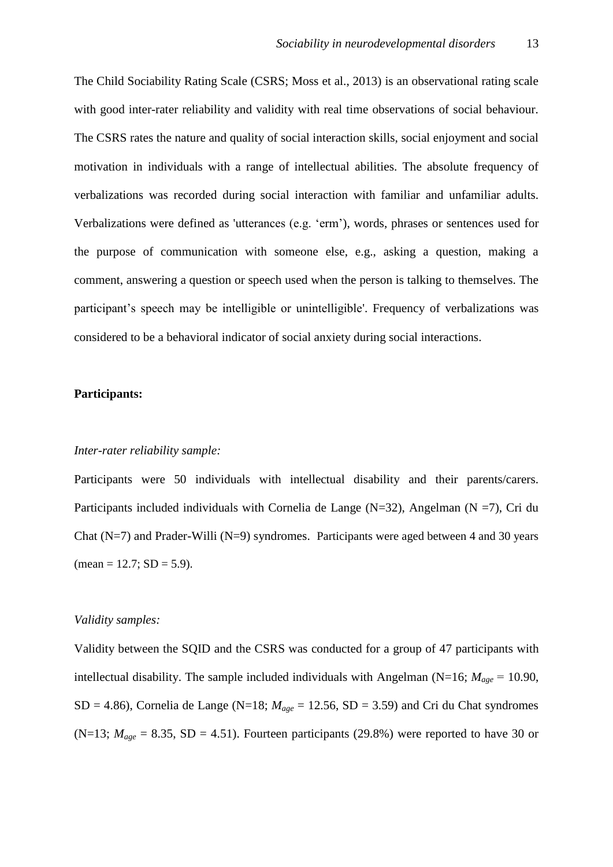The Child Sociability Rating Scale (CSRS; Moss et al., 2013) is an observational rating scale with good inter-rater reliability and validity with real time observations of social behaviour. The CSRS rates the nature and quality of social interaction skills, social enjoyment and social motivation in individuals with a range of intellectual abilities. The absolute frequency of verbalizations was recorded during social interaction with familiar and unfamiliar adults. Verbalizations were defined as 'utterances (e.g. 'erm'), words, phrases or sentences used for the purpose of communication with someone else, e.g., asking a question, making a comment, answering a question or speech used when the person is talking to themselves. The participant's speech may be intelligible or unintelligible'. Frequency of verbalizations was considered to be a behavioral indicator of social anxiety during social interactions.

#### **Participants:**

#### *Inter-rater reliability sample:*

Participants were 50 individuals with intellectual disability and their parents/carers. Participants included individuals with Cornelia de Lange ( $N=32$ ), Angelman ( $N=7$ ), Cri du Chat  $(N=7)$  and Prader-Willi  $(N=9)$  syndromes. Participants were aged between 4 and 30 years  $mean = 12.7$ ;  $SD = 5.9$ ).

#### *Validity samples:*

Validity between the SQID and the CSRS was conducted for a group of 47 participants with intellectual disability. The sample included individuals with Angelman (N=16;  $M_{age} = 10.90$ , SD = 4.86), Cornelia de Lange (N=18;  $M_{age} = 12.56$ , SD = 3.59) and Cri du Chat syndromes  $(N=13; M_{age} = 8.35, SD = 4.51)$ . Fourteen participants (29.8%) were reported to have 30 or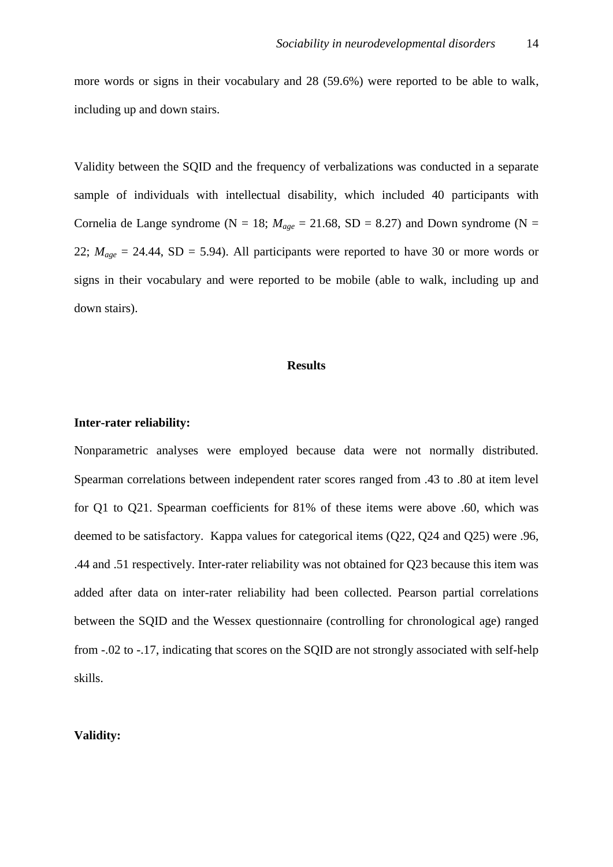more words or signs in their vocabulary and 28 (59.6%) were reported to be able to walk, including up and down stairs.

Validity between the SQID and the frequency of verbalizations was conducted in a separate sample of individuals with intellectual disability, which included 40 participants with Cornelia de Lange syndrome ( $N = 18$ ;  $M_{age} = 21.68$ , SD = 8.27) and Down syndrome ( $N =$ 22;  $M_{age} = 24.44$ , SD = 5.94). All participants were reported to have 30 or more words or signs in their vocabulary and were reported to be mobile (able to walk, including up and down stairs).

#### **Results**

#### **Inter-rater reliability:**

Nonparametric analyses were employed because data were not normally distributed. Spearman correlations between independent rater scores ranged from .43 to .80 at item level for Q1 to Q21. Spearman coefficients for 81% of these items were above .60, which was deemed to be satisfactory. Kappa values for categorical items (Q22, Q24 and Q25) were .96, .44 and .51 respectively. Inter-rater reliability was not obtained for Q23 because this item was added after data on inter-rater reliability had been collected. Pearson partial correlations between the SQID and the Wessex questionnaire (controlling for chronological age) ranged from -.02 to -.17, indicating that scores on the SQID are not strongly associated with self-help skills.

#### **Validity:**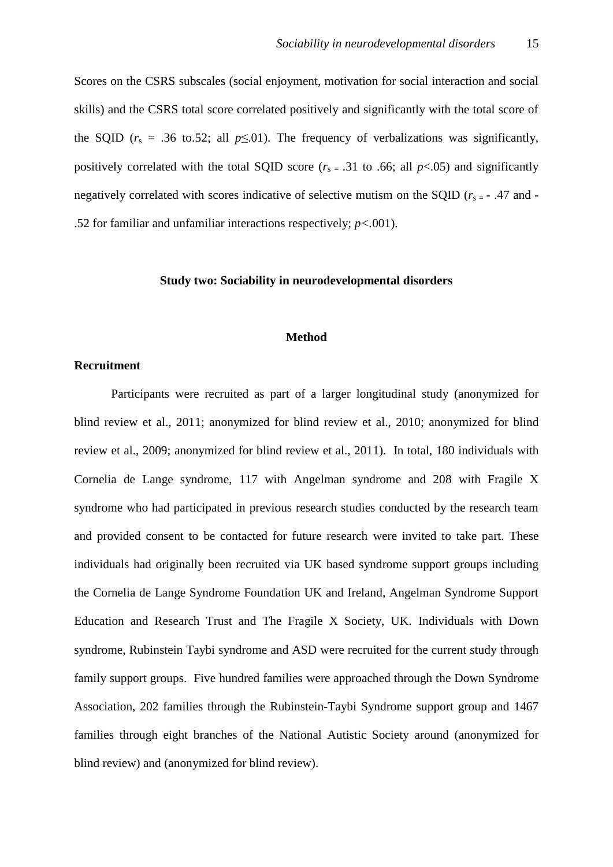Scores on the CSRS subscales (social enjoyment, motivation for social interaction and social skills) and the CSRS total score correlated positively and significantly with the total score of the SQID ( $r_s$  = .36 to.52; all  $p \le 01$ ). The frequency of verbalizations was significantly, positively correlated with the total SQID score ( $r<sub>s</sub> = .31$  to .66; all  $p<.05$ ) and significantly negatively correlated with scores indicative of selective mutism on the SQID ( $r<sub>s=</sub>$  - .47 and -.52 for familiar and unfamiliar interactions respectively; *p<.*001).

#### **Study two: Sociability in neurodevelopmental disorders**

#### **Method**

#### **Recruitment**

Participants were recruited as part of a larger longitudinal study (anonymized for blind review et al., 2011; anonymized for blind review et al., 2010; anonymized for blind review et al., 2009; anonymized for blind review et al., 2011). In total, 180 individuals with Cornelia de Lange syndrome, 117 with Angelman syndrome and 208 with Fragile X syndrome who had participated in previous research studies conducted by the research team and provided consent to be contacted for future research were invited to take part. These individuals had originally been recruited via UK based syndrome support groups including the Cornelia de Lange Syndrome Foundation UK and Ireland, Angelman Syndrome Support Education and Research Trust and The Fragile X Society, UK. Individuals with Down syndrome, Rubinstein Taybi syndrome and ASD were recruited for the current study through family support groups. Five hundred families were approached through the Down Syndrome Association, 202 families through the Rubinstein-Taybi Syndrome support group and 1467 families through eight branches of the National Autistic Society around (anonymized for blind review) and (anonymized for blind review).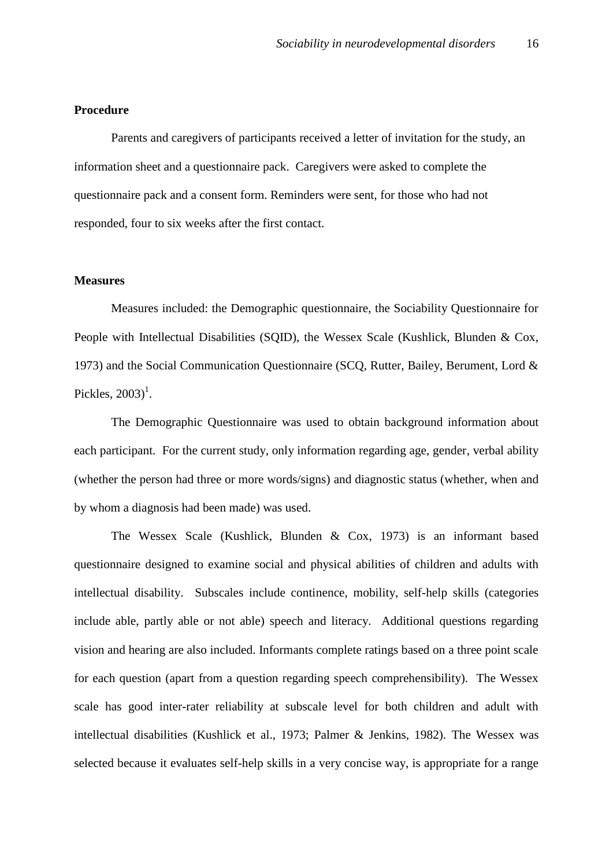#### **Procedure**

Parents and caregivers of participants received a letter of invitation for the study, an information sheet and a questionnaire pack. Caregivers were asked to complete the questionnaire pack and a consent form. Reminders were sent, for those who had not responded, four to six weeks after the first contact.

#### **Measures**

Measures included: the Demographic questionnaire, the Sociability Questionnaire for People with Intellectual Disabilities (SOID), the Wessex Scale (Kushlick, Blunden & Cox, 1973) and the Social Communication Questionnaire (SCQ, Rutter, Bailey, Berument, Lord & Pickles,  $2003$ <sup>1</sup>.

The Demographic Questionnaire was used to obtain background information about each participant. For the current study, only information regarding age, gender, verbal ability (whether the person had three or more words/signs) and diagnostic status (whether, when and by whom a diagnosis had been made) was used.

The Wessex Scale (Kushlick, Blunden & Cox, 1973) is an informant based questionnaire designed to examine social and physical abilities of children and adults with intellectual disability. Subscales include continence, mobility, self-help skills (categories include able, partly able or not able) speech and literacy. Additional questions regarding vision and hearing are also included. Informants complete ratings based on a three point scale for each question (apart from a question regarding speech comprehensibility). The Wessex scale has good inter-rater reliability at subscale level for both children and adult with intellectual disabilities (Kushlick et al., 1973; Palmer & Jenkins, 1982). The Wessex was selected because it evaluates self-help skills in a very concise way, is appropriate for a range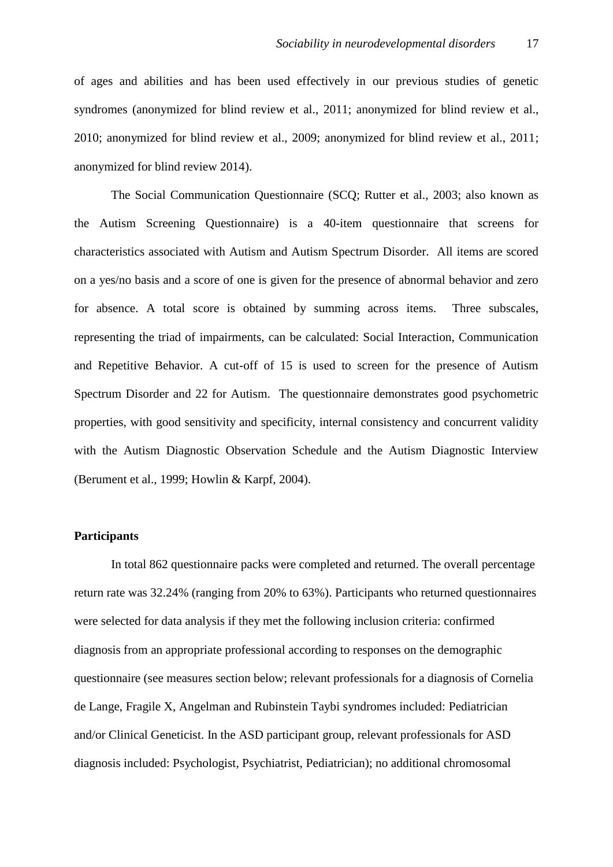of ages and abilities and has been used effectively in our previous studies of genetic syndromes (anonymized for blind review et al., 2011; anonymized for blind review et al., 2010; anonymized for blind review et al., 2009; anonymized for blind review et al., 2011; anonymized for blind review 2014).

The Social Communication Questionnaire (SCQ; Rutter et al., 2003; also known as the Autism Screening Questionnaire) is a 40-item questionnaire that screens for characteristics associated with Autism and Autism Spectrum Disorder. All items are scored on a yes/no basis and a score of one is given for the presence of abnormal behavior and zero for absence. A total score is obtained by summing across items. Three subscales, representing the triad of impairments, can be calculated: Social Interaction, Communication and Repetitive Behavior. A cut-off of 15 is used to screen for the presence of Autism Spectrum Disorder and 22 for Autism. The questionnaire demonstrates good psychometric properties, with good sensitivity and specificity, internal consistency and concurrent validity with the Autism Diagnostic Observation Schedule and the Autism Diagnostic Interview (Berument et al., 1999; Howlin & Karpf, 2004).

#### **Participants**

In total 862 questionnaire packs were completed and returned. The overall percentage return rate was 32.24% (ranging from 20% to 63%). Participants who returned questionnaires were selected for data analysis if they met the following inclusion criteria: confirmed diagnosis from an appropriate professional according to responses on the demographic questionnaire (see measures section below; relevant professionals for a diagnosis of Cornelia de Lange, Fragile X, Angelman and Rubinstein Taybi syndromes included: Pediatrician and/or Clinical Geneticist. In the ASD participant group, relevant professionals for ASD diagnosis included: Psychologist, Psychiatrist, Pediatrician); no additional chromosomal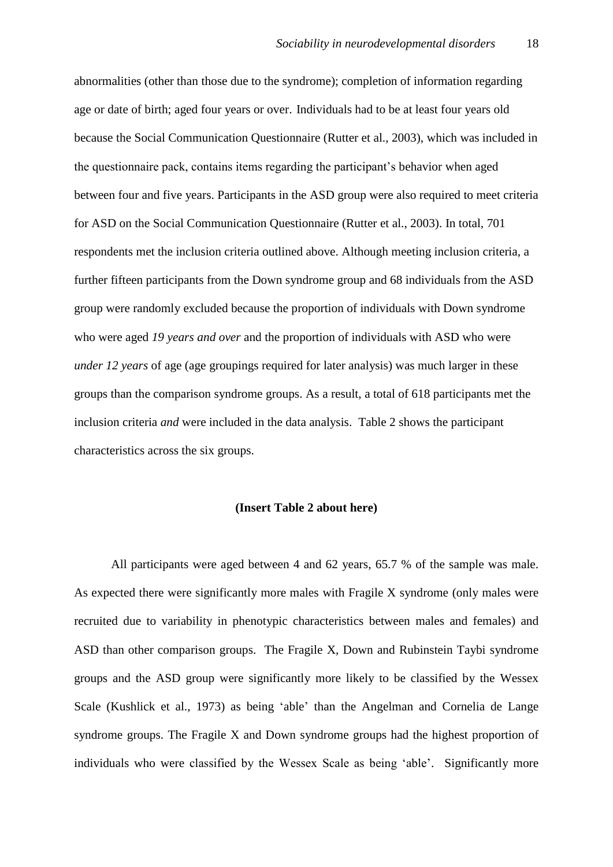abnormalities (other than those due to the syndrome); completion of information regarding age or date of birth; aged four years or over. Individuals had to be at least four years old because the Social Communication Questionnaire (Rutter et al., 2003), which was included in the questionnaire pack, contains items regarding the participant's behavior when aged between four and five years. Participants in the ASD group were also required to meet criteria for ASD on the Social Communication Questionnaire (Rutter et al., 2003). In total, 701 respondents met the inclusion criteria outlined above. Although meeting inclusion criteria, a further fifteen participants from the Down syndrome group and 68 individuals from the ASD group were randomly excluded because the proportion of individuals with Down syndrome who were aged *19 years and over* and the proportion of individuals with ASD who were *under 12 years* of age (age groupings required for later analysis) was much larger in these groups than the comparison syndrome groups. As a result, a total of 618 participants met the inclusion criteria *and* were included in the data analysis. Table 2 shows the participant characteristics across the six groups.

#### **(Insert Table 2 about here)**

All participants were aged between 4 and 62 years, 65.7 % of the sample was male. As expected there were significantly more males with Fragile X syndrome (only males were recruited due to variability in phenotypic characteristics between males and females) and ASD than other comparison groups. The Fragile X, Down and Rubinstein Taybi syndrome groups and the ASD group were significantly more likely to be classified by the Wessex Scale (Kushlick et al., 1973) as being 'able' than the Angelman and Cornelia de Lange syndrome groups. The Fragile X and Down syndrome groups had the highest proportion of individuals who were classified by the Wessex Scale as being 'able'. Significantly more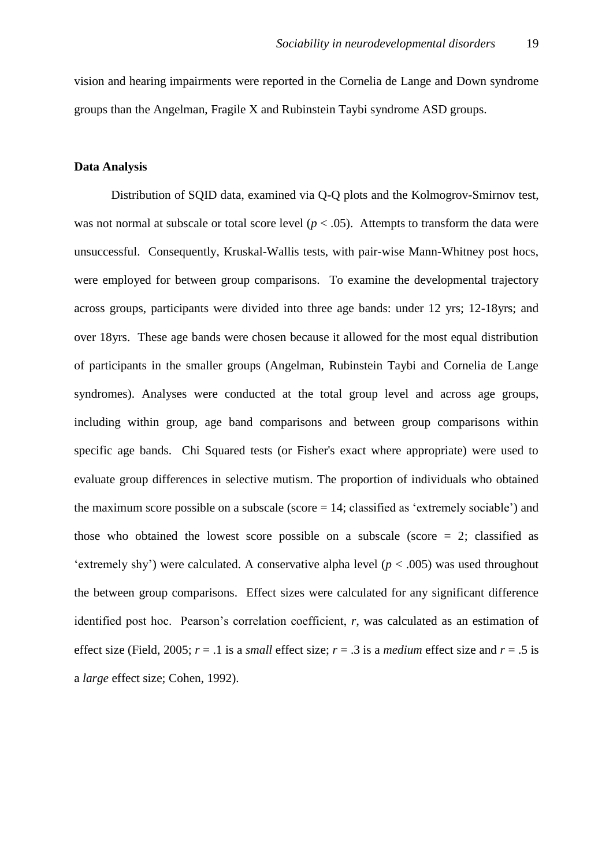vision and hearing impairments were reported in the Cornelia de Lange and Down syndrome groups than the Angelman, Fragile X and Rubinstein Taybi syndrome ASD groups.

#### **Data Analysis**

Distribution of SQID data, examined via Q-Q plots and the Kolmogrov-Smirnov test, was not normal at subscale or total score level  $(p < .05)$ . Attempts to transform the data were unsuccessful. Consequently, Kruskal-Wallis tests, with pair-wise Mann-Whitney post hocs, were employed for between group comparisons. To examine the developmental trajectory across groups, participants were divided into three age bands: under 12 yrs; 12-18yrs; and over 18yrs. These age bands were chosen because it allowed for the most equal distribution of participants in the smaller groups (Angelman, Rubinstein Taybi and Cornelia de Lange syndromes). Analyses were conducted at the total group level and across age groups, including within group, age band comparisons and between group comparisons within specific age bands. Chi Squared tests (or Fisher's exact where appropriate) were used to evaluate group differences in selective mutism. The proportion of individuals who obtained the maximum score possible on a subscale (score  $= 14$ ; classified as 'extremely sociable') and those who obtained the lowest score possible on a subscale (score  $= 2$ ; classified as 'extremely shy') were calculated. A conservative alpha level ( $p < .005$ ) was used throughout the between group comparisons. Effect sizes were calculated for any significant difference identified post hoc. Pearson's correlation coefficient, *r*, was calculated as an estimation of effect size (Field, 2005;  $r = .1$  is a *small* effect size;  $r = .3$  is a *medium* effect size and  $r = .5$  is a *large* effect size; Cohen, 1992).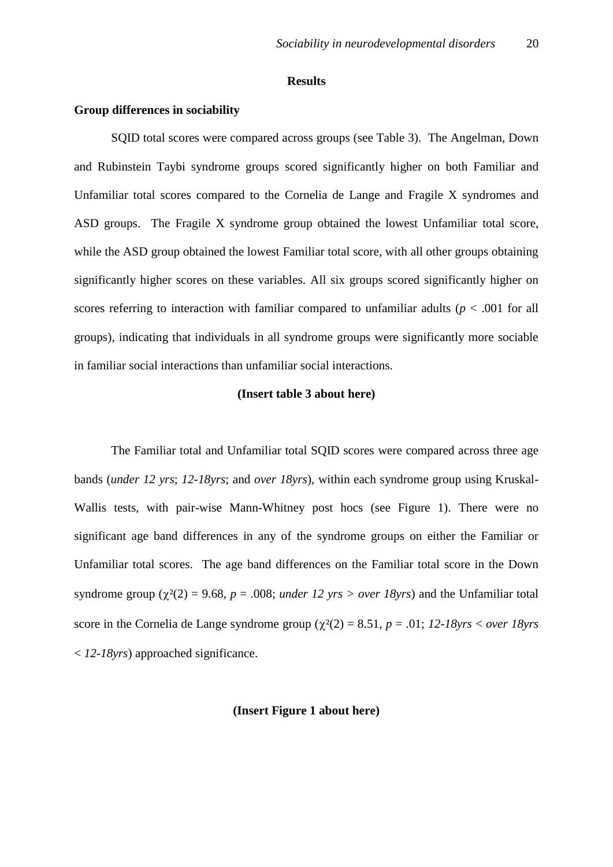#### **Results**

#### **Group differences in sociability**

SQID total scores were compared across groups (see Table 3). The Angelman, Down and Rubinstein Taybi syndrome groups scored significantly higher on both Familiar and Unfamiliar total scores compared to the Cornelia de Lange and Fragile X syndromes and ASD groups. The Fragile X syndrome group obtained the lowest Unfamiliar total score, while the ASD group obtained the lowest Familiar total score, with all other groups obtaining significantly higher scores on these variables. All six groups scored significantly higher on scores referring to interaction with familiar compared to unfamiliar adults ( $p < .001$  for all groups), indicating that individuals in all syndrome groups were significantly more sociable in familiar social interactions than unfamiliar social interactions.

#### **(Insert table 3 about here)**

The Familiar total and Unfamiliar total SQID scores were compared across three age bands (*under 12 yrs*; *12-18yrs*; and *over 18yrs*), within each syndrome group using Kruskal-Wallis tests, with pair-wise Mann-Whitney post hocs (see Figure 1). There were no significant age band differences in any of the syndrome groups on either the Familiar or Unfamiliar total scores. The age band differences on the Familiar total score in the Down syndrome group ( $\chi^2(2) = 9.68$ ,  $p = .008$ ; *under 12 yrs > over 18yrs*) and the Unfamiliar total score in the Cornelia de Lange syndrome group  $\chi^2(2) = 8.51$ ,  $p = .01$ ;  $12$ -18yrs  $\lt$  *over* 18yrs < *12-18yrs*) approached significance.

#### **(Insert Figure 1 about here)**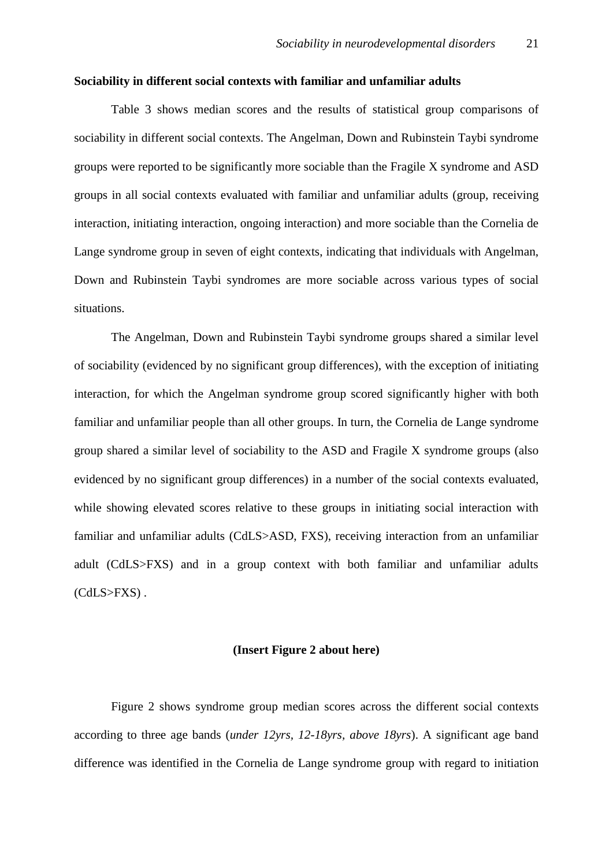#### **Sociability in different social contexts with familiar and unfamiliar adults**

Table 3 shows median scores and the results of statistical group comparisons of sociability in different social contexts. The Angelman, Down and Rubinstein Taybi syndrome groups were reported to be significantly more sociable than the Fragile X syndrome and ASD groups in all social contexts evaluated with familiar and unfamiliar adults (group, receiving interaction, initiating interaction, ongoing interaction) and more sociable than the Cornelia de Lange syndrome group in seven of eight contexts, indicating that individuals with Angelman, Down and Rubinstein Taybi syndromes are more sociable across various types of social situations.

The Angelman, Down and Rubinstein Taybi syndrome groups shared a similar level of sociability (evidenced by no significant group differences), with the exception of initiating interaction, for which the Angelman syndrome group scored significantly higher with both familiar and unfamiliar people than all other groups. In turn, the Cornelia de Lange syndrome group shared a similar level of sociability to the ASD and Fragile X syndrome groups (also evidenced by no significant group differences) in a number of the social contexts evaluated, while showing elevated scores relative to these groups in initiating social interaction with familiar and unfamiliar adults (CdLS>ASD, FXS), receiving interaction from an unfamiliar adult (CdLS>FXS) and in a group context with both familiar and unfamiliar adults (CdLS>FXS) .

#### **(Insert Figure 2 about here)**

Figure 2 shows syndrome group median scores across the different social contexts according to three age bands (*under 12yrs, 12-18yrs, above 18yrs*). A significant age band difference was identified in the Cornelia de Lange syndrome group with regard to initiation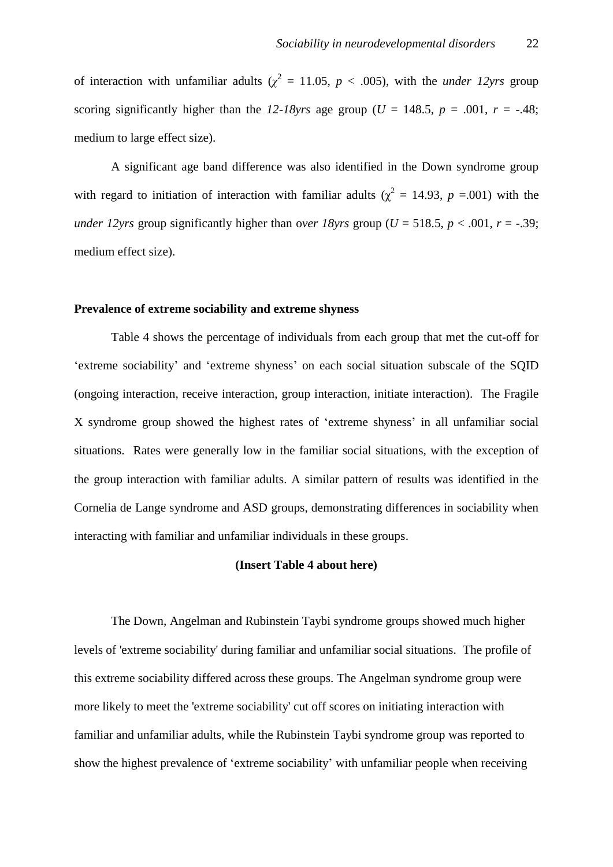of interaction with unfamiliar adults ( $\chi^2 = 11.05$ ,  $p < .005$ ), with the *under 12yrs* group scoring significantly higher than the *12-18yrs* age group ( $U = 148.5$ ,  $p = .001$ ,  $r = -.48$ ; medium to large effect size).

A significant age band difference was also identified in the Down syndrome group with regard to initiation of interaction with familiar adults ( $\chi^2 = 14.93$ ,  $p = .001$ ) with the *under 12yrs* group significantly higher than over 18yrs group ( $U = 518.5$ ,  $p < .001$ ,  $r = -.39$ ; medium effect size).

#### **Prevalence of extreme sociability and extreme shyness**

Table 4 shows the percentage of individuals from each group that met the cut-off for 'extreme sociability' and 'extreme shyness' on each social situation subscale of the SQID (ongoing interaction, receive interaction, group interaction, initiate interaction). The Fragile X syndrome group showed the highest rates of 'extreme shyness' in all unfamiliar social situations. Rates were generally low in the familiar social situations, with the exception of the group interaction with familiar adults. A similar pattern of results was identified in the Cornelia de Lange syndrome and ASD groups, demonstrating differences in sociability when interacting with familiar and unfamiliar individuals in these groups.

#### **(Insert Table 4 about here)**

The Down, Angelman and Rubinstein Taybi syndrome groups showed much higher levels of 'extreme sociability' during familiar and unfamiliar social situations. The profile of this extreme sociability differed across these groups. The Angelman syndrome group were more likely to meet the 'extreme sociability' cut off scores on initiating interaction with familiar and unfamiliar adults, while the Rubinstein Taybi syndrome group was reported to show the highest prevalence of 'extreme sociability' with unfamiliar people when receiving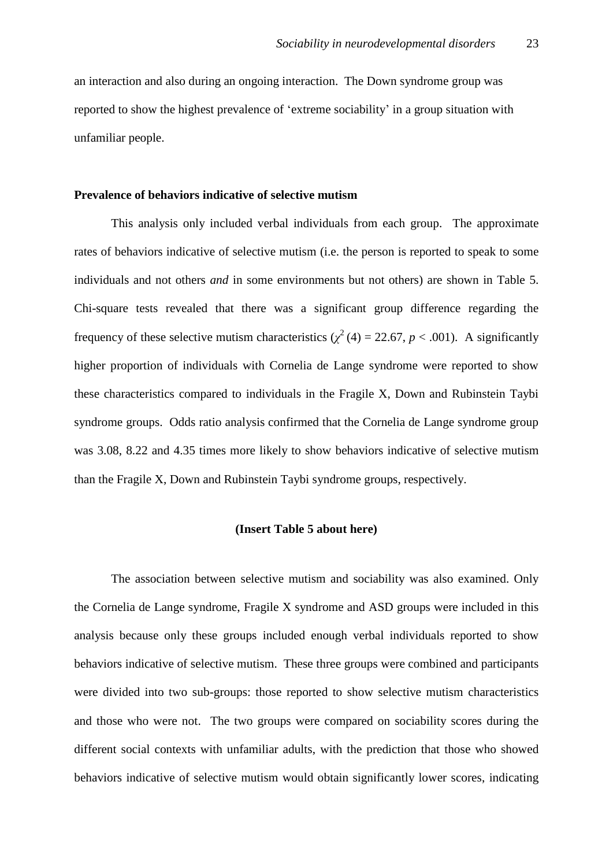an interaction and also during an ongoing interaction. The Down syndrome group was reported to show the highest prevalence of 'extreme sociability' in a group situation with unfamiliar people.

#### **Prevalence of behaviors indicative of selective mutism**

This analysis only included verbal individuals from each group. The approximate rates of behaviors indicative of selective mutism (i.e. the person is reported to speak to some individuals and not others *and* in some environments but not others) are shown in Table 5. Chi-square tests revealed that there was a significant group difference regarding the frequency of these selective mutism characteristics ( $\chi^2$  (4) = 22.67, *p* < .001). A significantly higher proportion of individuals with Cornelia de Lange syndrome were reported to show these characteristics compared to individuals in the Fragile X, Down and Rubinstein Taybi syndrome groups. Odds ratio analysis confirmed that the Cornelia de Lange syndrome group was 3.08, 8.22 and 4.35 times more likely to show behaviors indicative of selective mutism than the Fragile X, Down and Rubinstein Taybi syndrome groups, respectively.

#### **(Insert Table 5 about here)**

The association between selective mutism and sociability was also examined. Only the Cornelia de Lange syndrome, Fragile X syndrome and ASD groups were included in this analysis because only these groups included enough verbal individuals reported to show behaviors indicative of selective mutism. These three groups were combined and participants were divided into two sub-groups: those reported to show selective mutism characteristics and those who were not. The two groups were compared on sociability scores during the different social contexts with unfamiliar adults, with the prediction that those who showed behaviors indicative of selective mutism would obtain significantly lower scores, indicating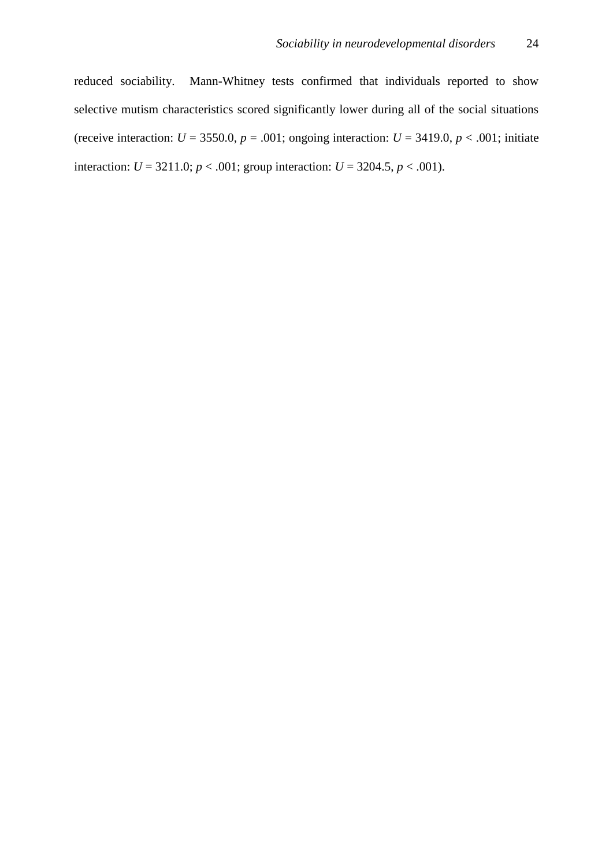reduced sociability. Mann-Whitney tests confirmed that individuals reported to show selective mutism characteristics scored significantly lower during all of the social situations (receive interaction:  $U = 3550.0$ ,  $p = .001$ ; ongoing interaction:  $U = 3419.0$ ,  $p < .001$ ; initiate interaction:  $U = 3211.0$ ;  $p < .001$ ; group interaction:  $U = 3204.5$ ,  $p < .001$ ).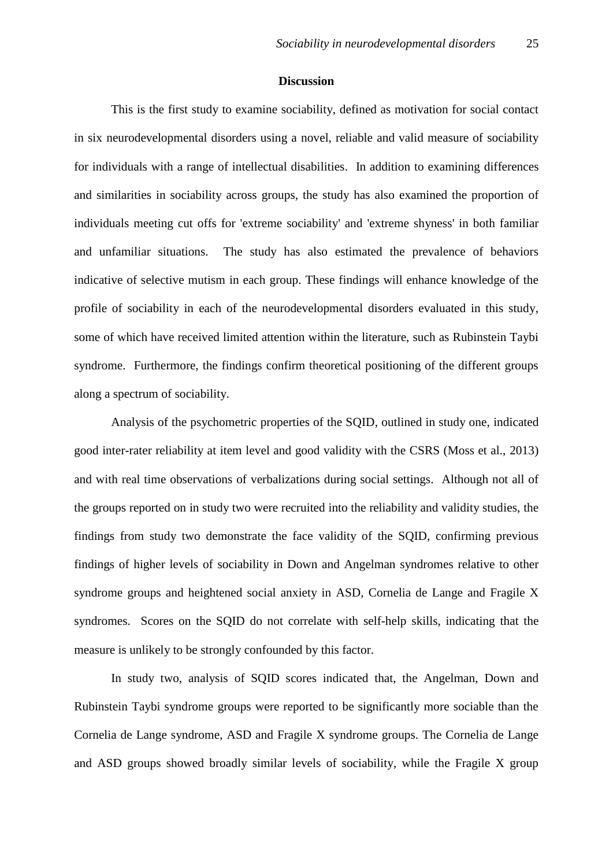#### **Discussion**

This is the first study to examine sociability, defined as motivation for social contact in six neurodevelopmental disorders using a novel, reliable and valid measure of sociability for individuals with a range of intellectual disabilities. In addition to examining differences and similarities in sociability across groups, the study has also examined the proportion of individuals meeting cut offs for 'extreme sociability' and 'extreme shyness' in both familiar and unfamiliar situations. The study has also estimated the prevalence of behaviors indicative of selective mutism in each group. These findings will enhance knowledge of the profile of sociability in each of the neurodevelopmental disorders evaluated in this study, some of which have received limited attention within the literature, such as Rubinstein Taybi syndrome. Furthermore, the findings confirm theoretical positioning of the different groups along a spectrum of sociability.

Analysis of the psychometric properties of the SQID, outlined in study one, indicated good inter-rater reliability at item level and good validity with the CSRS (Moss et al., 2013) and with real time observations of verbalizations during social settings. Although not all of the groups reported on in study two were recruited into the reliability and validity studies, the findings from study two demonstrate the face validity of the SQID, confirming previous findings of higher levels of sociability in Down and Angelman syndromes relative to other syndrome groups and heightened social anxiety in ASD, Cornelia de Lange and Fragile X syndromes. Scores on the SQID do not correlate with self-help skills, indicating that the measure is unlikely to be strongly confounded by this factor.

In study two, analysis of SQID scores indicated that, the Angelman, Down and Rubinstein Taybi syndrome groups were reported to be significantly more sociable than the Cornelia de Lange syndrome, ASD and Fragile X syndrome groups. The Cornelia de Lange and ASD groups showed broadly similar levels of sociability, while the Fragile X group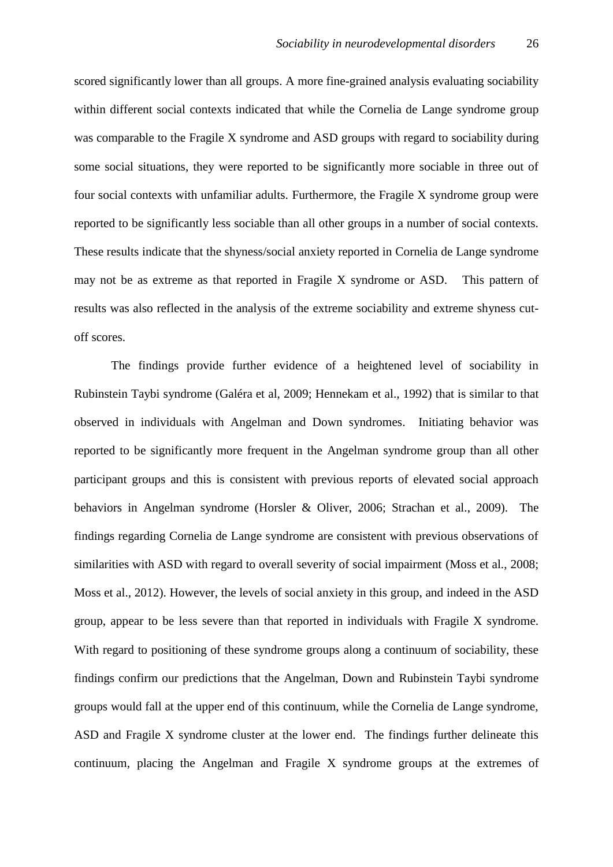scored significantly lower than all groups. A more fine-grained analysis evaluating sociability within different social contexts indicated that while the Cornelia de Lange syndrome group was comparable to the Fragile X syndrome and ASD groups with regard to sociability during some social situations, they were reported to be significantly more sociable in three out of four social contexts with unfamiliar adults. Furthermore, the Fragile X syndrome group were reported to be significantly less sociable than all other groups in a number of social contexts. These results indicate that the shyness/social anxiety reported in Cornelia de Lange syndrome may not be as extreme as that reported in Fragile X syndrome or ASD. This pattern of results was also reflected in the analysis of the extreme sociability and extreme shyness cutoff scores.

The findings provide further evidence of a heightened level of sociability in Rubinstein Taybi syndrome (Galéra et al, 2009; Hennekam et al., 1992) that is similar to that observed in individuals with Angelman and Down syndromes. Initiating behavior was reported to be significantly more frequent in the Angelman syndrome group than all other participant groups and this is consistent with previous reports of elevated social approach behaviors in Angelman syndrome (Horsler & Oliver, 2006; Strachan et al., 2009). The findings regarding Cornelia de Lange syndrome are consistent with previous observations of similarities with ASD with regard to overall severity of social impairment (Moss et al., 2008; Moss et al., 2012). However, the levels of social anxiety in this group, and indeed in the ASD group, appear to be less severe than that reported in individuals with Fragile X syndrome. With regard to positioning of these syndrome groups along a continuum of sociability, these findings confirm our predictions that the Angelman, Down and Rubinstein Taybi syndrome groups would fall at the upper end of this continuum, while the Cornelia de Lange syndrome, ASD and Fragile X syndrome cluster at the lower end. The findings further delineate this continuum, placing the Angelman and Fragile X syndrome groups at the extremes of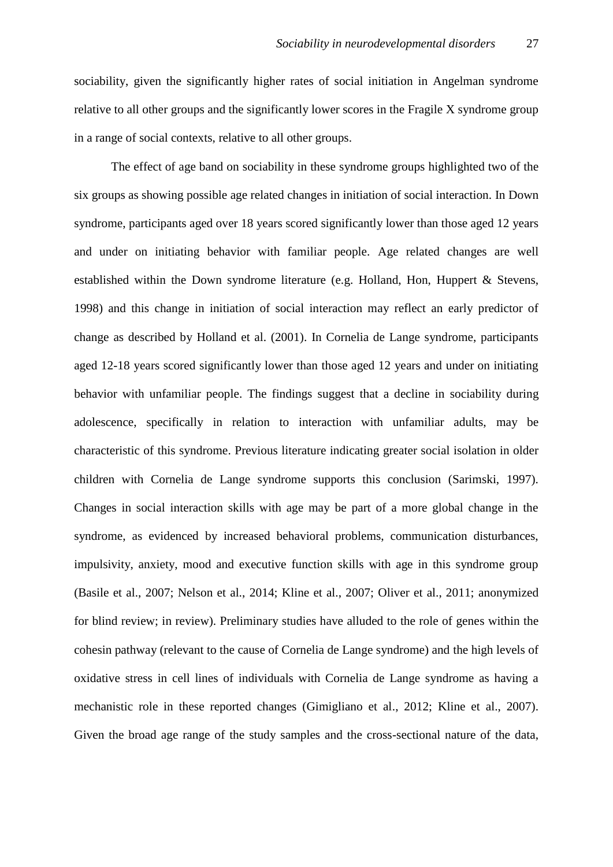sociability, given the significantly higher rates of social initiation in Angelman syndrome relative to all other groups and the significantly lower scores in the Fragile X syndrome group in a range of social contexts, relative to all other groups.

The effect of age band on sociability in these syndrome groups highlighted two of the six groups as showing possible age related changes in initiation of social interaction. In Down syndrome, participants aged over 18 years scored significantly lower than those aged 12 years and under on initiating behavior with familiar people. Age related changes are well established within the Down syndrome literature (e.g. Holland, Hon, Huppert & Stevens, 1998) and this change in initiation of social interaction may reflect an early predictor of change as described by Holland et al. (2001). In Cornelia de Lange syndrome, participants aged 12-18 years scored significantly lower than those aged 12 years and under on initiating behavior with unfamiliar people. The findings suggest that a decline in sociability during adolescence, specifically in relation to interaction with unfamiliar adults, may be characteristic of this syndrome. Previous literature indicating greater social isolation in older children with Cornelia de Lange syndrome supports this conclusion (Sarimski, 1997). Changes in social interaction skills with age may be part of a more global change in the syndrome, as evidenced by increased behavioral problems, communication disturbances, impulsivity, anxiety, mood and executive function skills with age in this syndrome group (Basile et al., 2007; Nelson et al., 2014; Kline et al., 2007; Oliver et al., 2011; anonymized for blind review; in review). Preliminary studies have alluded to the role of genes within the cohesin pathway (relevant to the cause of Cornelia de Lange syndrome) and the high levels of oxidative stress in cell lines of individuals with Cornelia de Lange syndrome as having a mechanistic role in these reported changes (Gimigliano et al., 2012; Kline et al., 2007). Given the broad age range of the study samples and the cross-sectional nature of the data,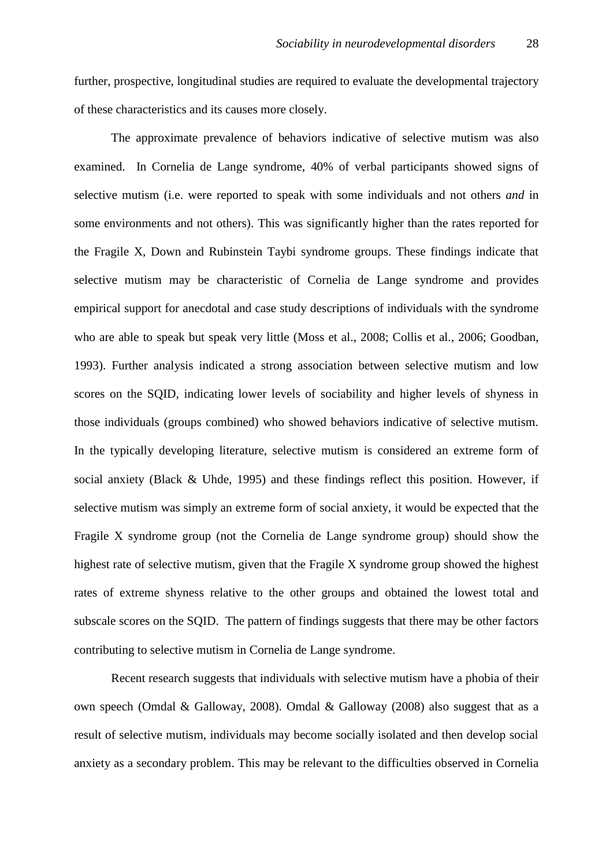further, prospective, longitudinal studies are required to evaluate the developmental trajectory of these characteristics and its causes more closely.

The approximate prevalence of behaviors indicative of selective mutism was also examined. In Cornelia de Lange syndrome, 40% of verbal participants showed signs of selective mutism (i.e. were reported to speak with some individuals and not others *and* in some environments and not others). This was significantly higher than the rates reported for the Fragile X, Down and Rubinstein Taybi syndrome groups. These findings indicate that selective mutism may be characteristic of Cornelia de Lange syndrome and provides empirical support for anecdotal and case study descriptions of individuals with the syndrome who are able to speak but speak very little (Moss et al., 2008; Collis et al., 2006; Goodban, 1993). Further analysis indicated a strong association between selective mutism and low scores on the SQID, indicating lower levels of sociability and higher levels of shyness in those individuals (groups combined) who showed behaviors indicative of selective mutism. In the typically developing literature, selective mutism is considered an extreme form of social anxiety (Black & Uhde, 1995) and these findings reflect this position. However, if selective mutism was simply an extreme form of social anxiety, it would be expected that the Fragile X syndrome group (not the Cornelia de Lange syndrome group) should show the highest rate of selective mutism, given that the Fragile X syndrome group showed the highest rates of extreme shyness relative to the other groups and obtained the lowest total and subscale scores on the SQID. The pattern of findings suggests that there may be other factors contributing to selective mutism in Cornelia de Lange syndrome.

Recent research suggests that individuals with selective mutism have a phobia of their own speech (Omdal & Galloway, 2008). Omdal & Galloway (2008) also suggest that as a result of selective mutism, individuals may become socially isolated and then develop social anxiety as a secondary problem. This may be relevant to the difficulties observed in Cornelia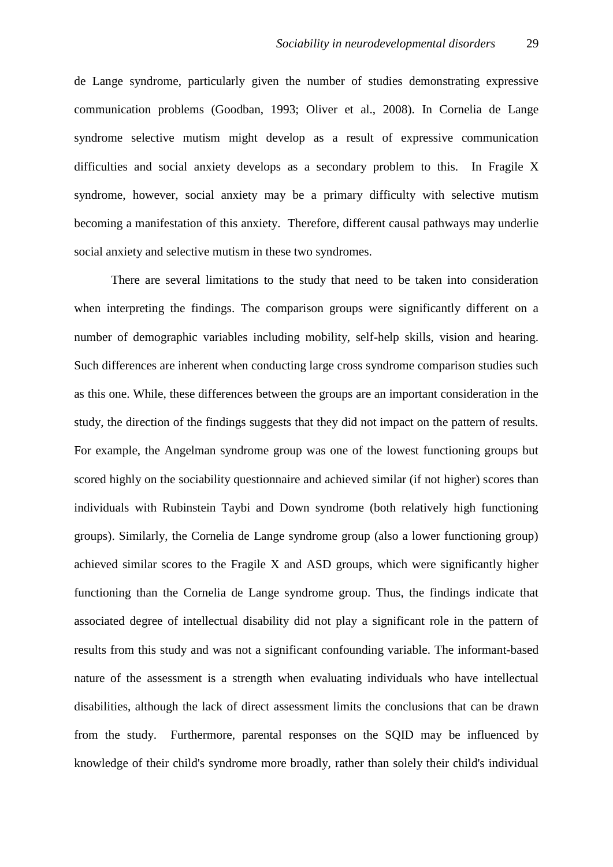de Lange syndrome, particularly given the number of studies demonstrating expressive communication problems (Goodban, 1993; Oliver et al., 2008). In Cornelia de Lange syndrome selective mutism might develop as a result of expressive communication difficulties and social anxiety develops as a secondary problem to this. In Fragile X syndrome, however, social anxiety may be a primary difficulty with selective mutism becoming a manifestation of this anxiety. Therefore, different causal pathways may underlie social anxiety and selective mutism in these two syndromes.

There are several limitations to the study that need to be taken into consideration when interpreting the findings. The comparison groups were significantly different on a number of demographic variables including mobility, self-help skills, vision and hearing. Such differences are inherent when conducting large cross syndrome comparison studies such as this one. While, these differences between the groups are an important consideration in the study, the direction of the findings suggests that they did not impact on the pattern of results. For example, the Angelman syndrome group was one of the lowest functioning groups but scored highly on the sociability questionnaire and achieved similar (if not higher) scores than individuals with Rubinstein Taybi and Down syndrome (both relatively high functioning groups). Similarly, the Cornelia de Lange syndrome group (also a lower functioning group) achieved similar scores to the Fragile X and ASD groups, which were significantly higher functioning than the Cornelia de Lange syndrome group. Thus, the findings indicate that associated degree of intellectual disability did not play a significant role in the pattern of results from this study and was not a significant confounding variable. The informant-based nature of the assessment is a strength when evaluating individuals who have intellectual disabilities, although the lack of direct assessment limits the conclusions that can be drawn from the study. Furthermore, parental responses on the SQID may be influenced by knowledge of their child's syndrome more broadly, rather than solely their child's individual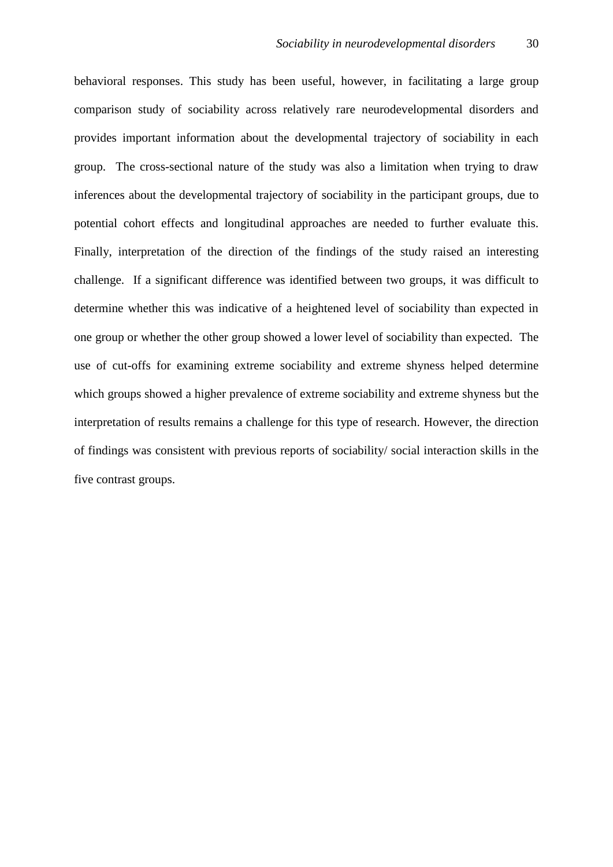behavioral responses. This study has been useful, however, in facilitating a large group comparison study of sociability across relatively rare neurodevelopmental disorders and provides important information about the developmental trajectory of sociability in each group. The cross-sectional nature of the study was also a limitation when trying to draw inferences about the developmental trajectory of sociability in the participant groups, due to potential cohort effects and longitudinal approaches are needed to further evaluate this. Finally, interpretation of the direction of the findings of the study raised an interesting challenge. If a significant difference was identified between two groups, it was difficult to determine whether this was indicative of a heightened level of sociability than expected in one group or whether the other group showed a lower level of sociability than expected. The use of cut-offs for examining extreme sociability and extreme shyness helped determine which groups showed a higher prevalence of extreme sociability and extreme shyness but the interpretation of results remains a challenge for this type of research. However, the direction of findings was consistent with previous reports of sociability/ social interaction skills in the five contrast groups.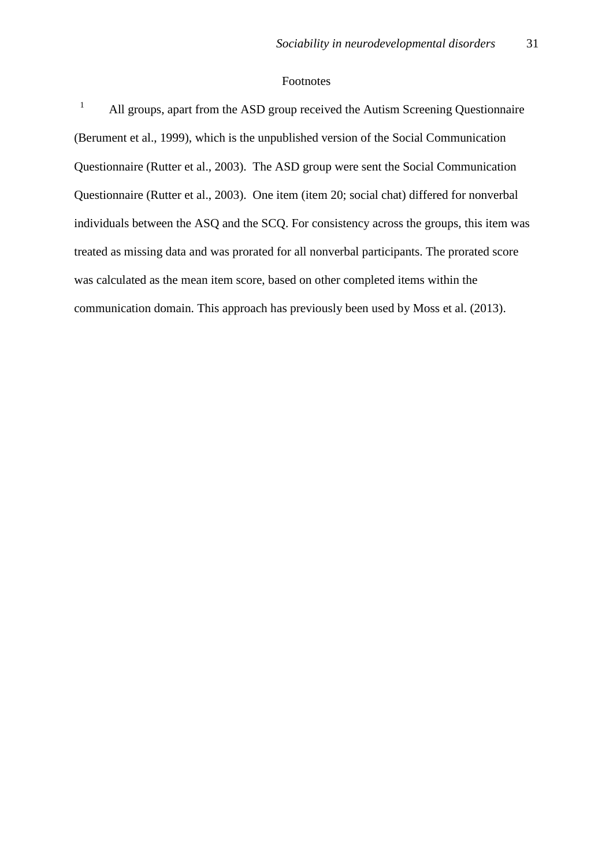#### Footnotes

 1 All groups, apart from the ASD group received the Autism Screening Questionnaire (Berument et al., 1999), which is the unpublished version of the Social Communication Questionnaire (Rutter et al., 2003). The ASD group were sent the Social Communication Questionnaire (Rutter et al., 2003). One item (item 20; social chat) differed for nonverbal individuals between the ASQ and the SCQ. For consistency across the groups, this item was treated as missing data and was prorated for all nonverbal participants. The prorated score was calculated as the mean item score, based on other completed items within the communication domain. This approach has previously been used by Moss et al. (2013).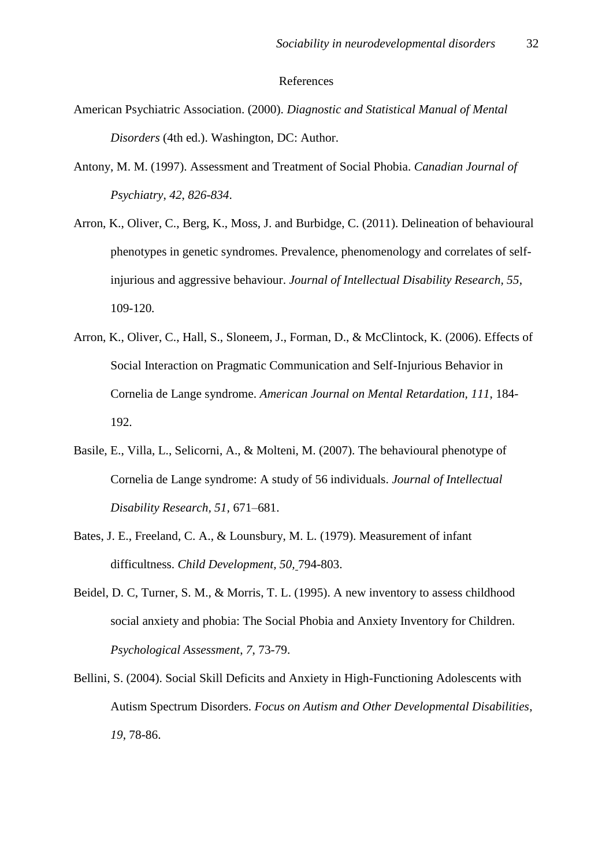#### References

- American Psychiatric Association. (2000). *Diagnostic and Statistical Manual of Mental Disorders* (4th ed.). Washington, DC: Author.
- Antony, M. M. (1997). Assessment and Treatment of Social Phobia. *Canadian Journal of Psychiatry*, *42*, *826-834*.
- Arron, K., Oliver, C., Berg, K., Moss, J. and Burbidge, C. (2011). Delineation of behavioural phenotypes in genetic syndromes. Prevalence, phenomenology and correlates of selfinjurious and aggressive behaviour. *Journal of Intellectual Disability Research, 55*, 109-120*.*
- Arron, K., Oliver, C., Hall, S., Sloneem, J., Forman, D., & McClintock, K. (2006). Effects of Social Interaction on Pragmatic Communication and Self-Injurious Behavior in Cornelia de Lange syndrome. *American Journal on Mental Retardation, 111*, 184- 192.
- Basile, E., Villa, L., Selicorni, A., & Molteni, M. (2007). The behavioural phenotype of Cornelia de Lange syndrome: A study of 56 individuals. *Journal of Intellectual Disability Research, 51,* 671–681.
- Bates, J. E., Freeland, C. A., & Lounsbury, M. L. (1979). Measurement of infant difficultness. *Child Development, 50,* 794-803.
- Beidel, D. C, Turner, S. M., & Morris, T. L. (1995). A new inventory to assess childhood social anxiety and phobia: The Social Phobia and Anxiety Inventory for Children. *Psychological Assessment*, *7*, 73-79.
- Bellini, S. (2004). Social Skill Deficits and Anxiety in High-Functioning Adolescents with Autism Spectrum Disorders. *Focus on Autism and Other Developmental Disabilities*, *19*, 78-86.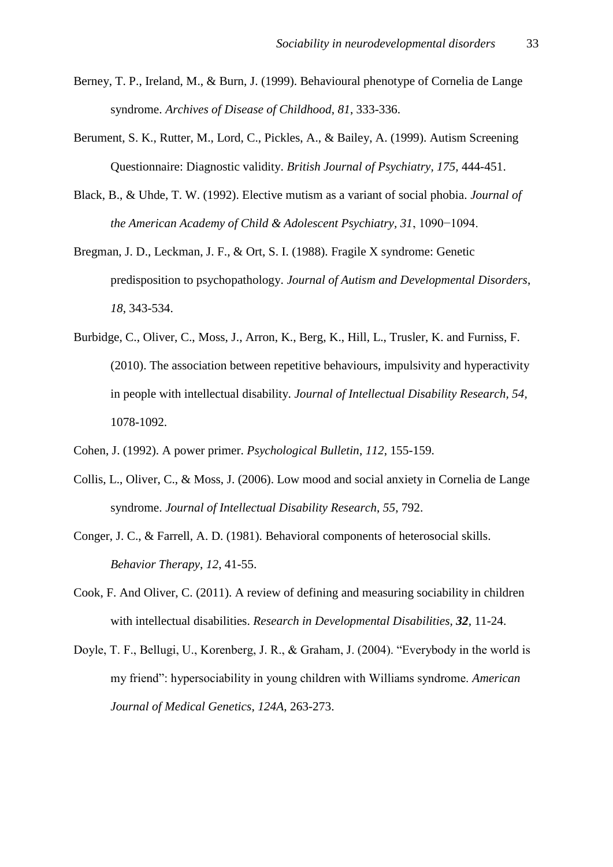- Berney, T. P., Ireland, M., & Burn, J. (1999). Behavioural phenotype of Cornelia de Lange syndrome. *Archives of Disease of Childhood*, *81*, 333-336.
- Berument, S. K., Rutter, M., Lord, C., Pickles, A., & Bailey, A. (1999). Autism Screening Questionnaire: Diagnostic validity. *British Journal of Psychiatry, 175,* 444-451.
- Black, B., & Uhde, T. W. (1992). Elective mutism as a variant of social phobia. *Journal of the American Academy of Child & Adolescent Psychiatry, 31*, 1090−1094.
- Bregman, J. D., Leckman, J. F., & Ort, S. I. (1988). Fragile X syndrome: Genetic predisposition to psychopathology. *Journal of Autism and Developmental Disorders*, *18*, 343-534.
- Burbidge, C., Oliver, C., Moss, J., Arron, K., Berg, K., Hill, L., Trusler, K. and Furniss, F. (2010). The association between repetitive behaviours, impulsivity and hyperactivity in people with intellectual disability. *Journal of Intellectual Disability Research, 54,*  1078-1092.
- Cohen, J. (1992). A power primer. *Psychological Bulletin*, *112*, 155-159.
- Collis, L., Oliver, C., & Moss, J. (2006). Low mood and social anxiety in Cornelia de Lange syndrome. *Journal of Intellectual Disability Research*, *55*, 792.
- Conger, J. C., & Farrell, A. D. (1981). Behavioral components of heterosocial skills. *Behavior Therapy*, *12*, 41-55.
- Cook, F. And Oliver, C. (2011). A review of defining and measuring sociability in children with intellectual disabilities. *Research in Developmental Disabilities, 32,* 11-24.
- Doyle, T. F., Bellugi, U., Korenberg, J. R., & Graham, J. (2004). "Everybody in the world is my friend": hypersociability in young children with Williams syndrome. *American Journal of Medical Genetics*, *124A*, 263-273.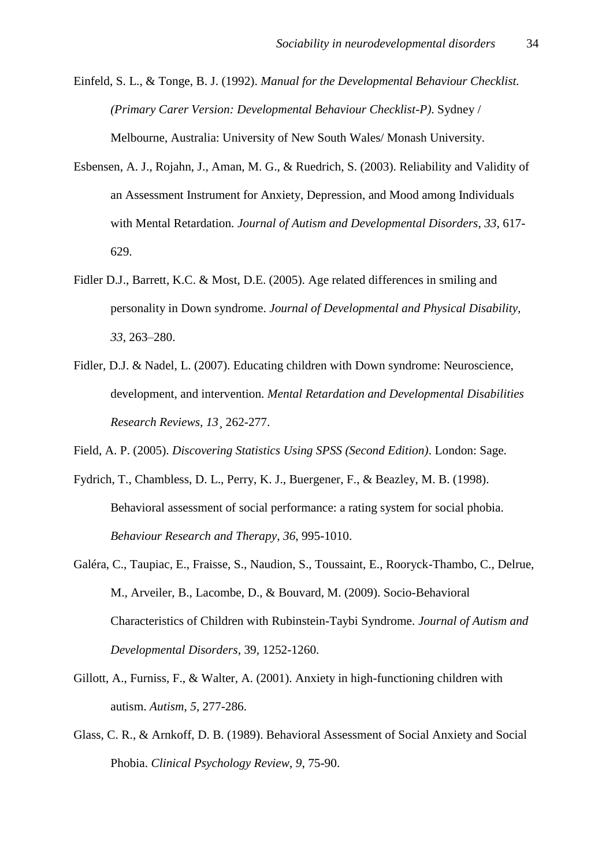Einfeld, S. L., & Tonge, B. J. (1992). *Manual for the Developmental Behaviour Checklist. (Primary Carer Version: Developmental Behaviour Checklist-P)*. Sydney / Melbourne, Australia: University of New South Wales/ Monash University.

- Esbensen, A. J., Rojahn, J., Aman, M. G., & Ruedrich, S. (2003). Reliability and Validity of an Assessment Instrument for Anxiety, Depression, and Mood among Individuals with Mental Retardation. *Journal of Autism and Developmental Disorders*, *33*, 617- 629.
- Fidler D.J., Barrett, K.C. & Most, D.E. (2005). Age related differences in smiling and personality in Down syndrome. *Journal of Developmental and Physical Disability, 33*, 263–280.
- Fidler, D.J. & Nadel, L. (2007). Educating children with Down syndrome: Neuroscience, development, and intervention. *Mental Retardation and Developmental Disabilities Research Reviews, 13*¸ 262-277.

Field, A. P. (2005). *Discovering Statistics Using SPSS (Second Edition)*. London: Sage.

- Fydrich, T., Chambless, D. L., Perry, K. J., Buergener, F., & Beazley, M. B. (1998). Behavioral assessment of social performance: a rating system for social phobia. *Behaviour Research and Therapy*, *36*, 995-1010.
- Galéra, C., Taupiac, E., Fraisse, S., Naudion, S., Toussaint, E., Rooryck-Thambo, C., Delrue, M., Arveiler, B., Lacombe, D., & Bouvard, M. (2009). Socio-Behavioral Characteristics of Children with Rubinstein-Taybi Syndrome. *Journal of Autism and Developmental Disorders*, 39, 1252-1260.
- Gillott, A., Furniss, F., & Walter, A. (2001). Anxiety in high-functioning children with autism. *Autism*, *5*, 277-286.
- Glass, C. R., & Arnkoff, D. B. (1989). Behavioral Assessment of Social Anxiety and Social Phobia. *Clinical Psychology Review*, *9*, 75-90.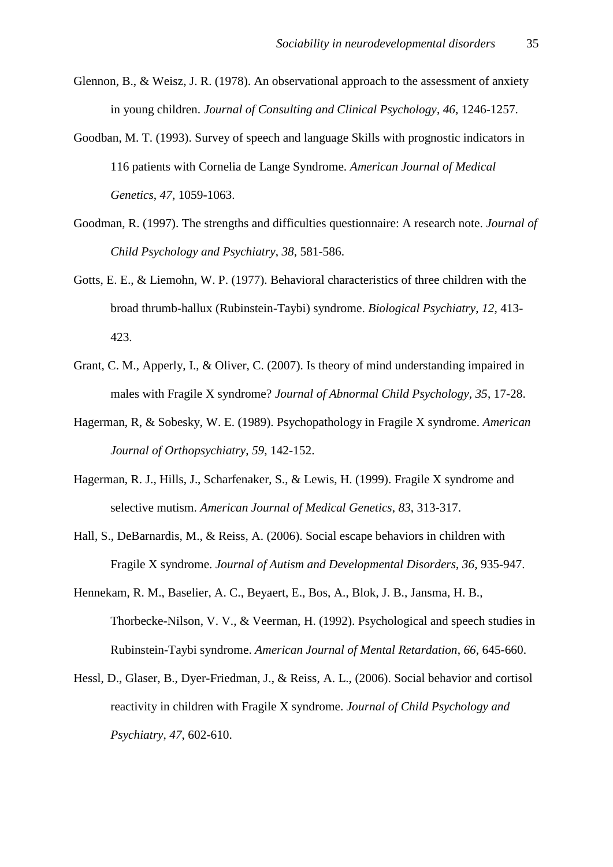- Glennon, B., & Weisz, J. R. (1978). An observational approach to the assessment of anxiety in young children. *Journal of Consulting and Clinical Psychology*, *46*, 1246-1257.
- Goodban, M. T. (1993). Survey of speech and language Skills with prognostic indicators in 116 patients with Cornelia de Lange Syndrome. *American Journal of Medical Genetics*, *47*, 1059-1063.
- Goodman, R. (1997). The strengths and difficulties questionnaire: A research note. *Journal of Child Psychology and Psychiatry*, *38*, 581-586.
- Gotts, E. E., & Liemohn, W. P. (1977). Behavioral characteristics of three children with the broad thrumb-hallux (Rubinstein-Taybi) syndrome. *Biological Psychiatry*, *12*, 413- 423.
- Grant, C. M., Apperly, I., & Oliver, C. (2007). Is theory of mind understanding impaired in males with Fragile X syndrome? *Journal of Abnormal Child Psychology, 35*, 17-28.
- Hagerman, R, & Sobesky, W. E. (1989). Psychopathology in Fragile X syndrome. *American Journal of Orthopsychiatry*, *59*, 142-152.
- Hagerman, R. J., Hills, J., Scharfenaker, S., & Lewis, H. (1999). Fragile X syndrome and selective mutism. *American Journal of Medical Genetics*, *83*, 313-317.
- Hall, S., DeBarnardis, M., & Reiss, A. (2006). Social escape behaviors in children with Fragile X syndrome. *Journal of Autism and Developmental Disorders*, *36*, 935-947.
- Hennekam, R. M., Baselier, A. C., Beyaert, E., Bos, A., Blok, J. B., Jansma, H. B., Thorbecke-Nilson, V. V., & Veerman, H. (1992). Psychological and speech studies in Rubinstein-Taybi syndrome. *American Journal of Mental Retardation*, *66*, 645-660.
- Hessl, D., Glaser, B., Dyer-Friedman, J., & Reiss, A. L., (2006). Social behavior and cortisol reactivity in children with Fragile X syndrome. *Journal of Child Psychology and Psychiatry*, *47*, 602-610.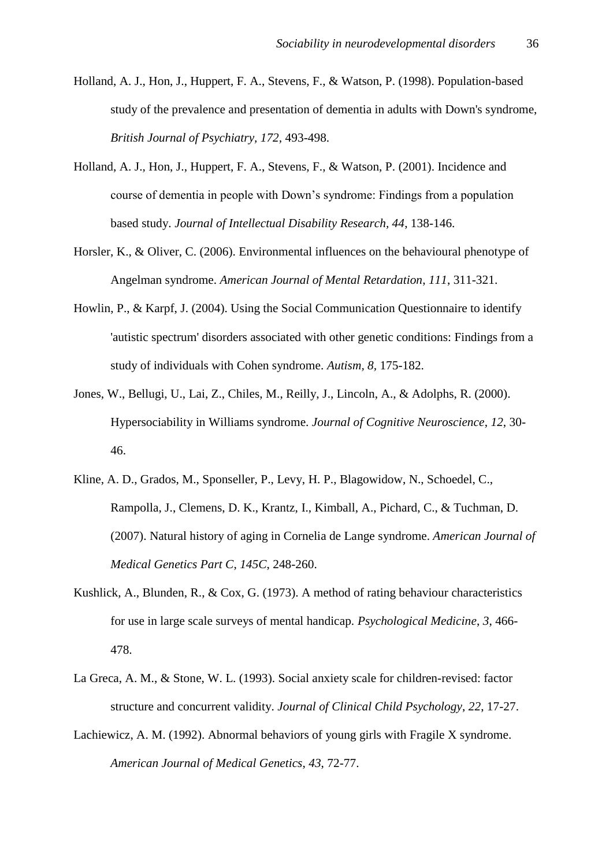- Holland, A. J., Hon, J., Huppert, F. A., Stevens, F., & Watson, P. (1998). Population-based study of the prevalence and presentation of dementia in adults with Down's syndrome, *British Journal of Psychiatry, 172,* 493-498.
- Holland, A. J., Hon, J., Huppert, F. A., Stevens, F., & Watson, P. (2001). Incidence and course of dementia in people with Down's syndrome: Findings from a population based study. *Journal of Intellectual Disability Research, 44*, 138-146.
- Horsler, K., & Oliver, C. (2006). Environmental influences on the behavioural phenotype of Angelman syndrome. *American Journal of Mental Retardation*, *111*, 311-321.
- Howlin, P., & Karpf, J. (2004). Using the Social Communication Questionnaire to identify 'autistic spectrum' disorders associated with other genetic conditions: Findings from a study of individuals with Cohen syndrome. *Autism, 8,* 175-182.
- Jones, W., Bellugi, U., Lai, Z., Chiles, M., Reilly, J., Lincoln, A., & Adolphs, R. (2000). Hypersociability in Williams syndrome. *Journal of Cognitive Neuroscience*, *12*, 30- 46.
- Kline, A. D., Grados, M., Sponseller, P., Levy, H. P., Blagowidow, N., Schoedel, C., Rampolla, J., Clemens, D. K., Krantz, I., Kimball, A., Pichard, C., & Tuchman, D. (2007). Natural history of aging in Cornelia de Lange syndrome. *American Journal of Medical Genetics Part C*, *145C*, 248-260.
- Kushlick, A., Blunden, R., & Cox, G. (1973). A method of rating behaviour characteristics for use in large scale surveys of mental handicap. *Psychological Medicine*, *3*, 466- 478.
- La Greca, A. M., & Stone, W. L. (1993). Social anxiety scale for children-revised: factor structure and concurrent validity. *Journal of Clinical Child Psychology*, *22*, 17-27.
- Lachiewicz, A. M. (1992). Abnormal behaviors of young girls with Fragile X syndrome. *American Journal of Medical Genetics*, *43*, 72-77.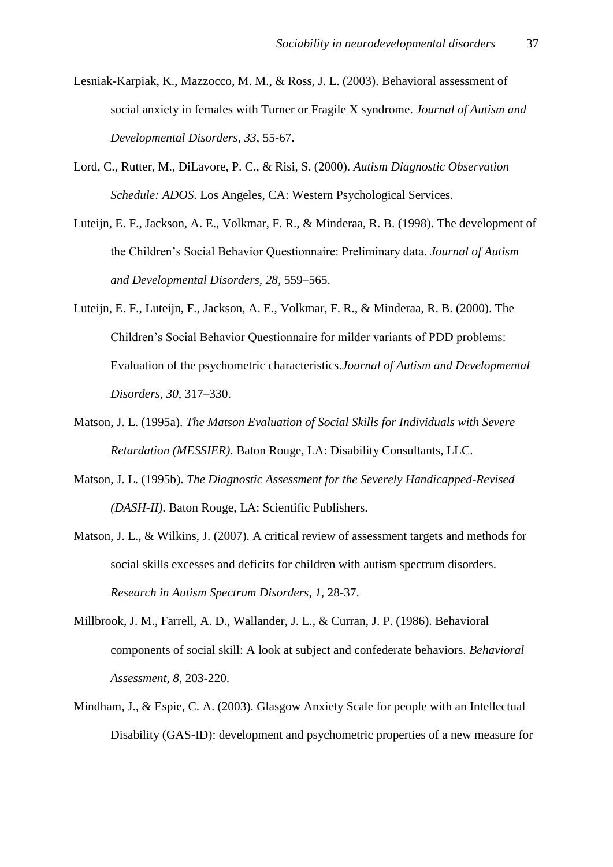- Lesniak-Karpiak, K., Mazzocco, M. M., & Ross, J. L. (2003). Behavioral assessment of social anxiety in females with Turner or Fragile X syndrome. *Journal of Autism and Developmental Disorders*, *33*, 55-67.
- Lord, C., Rutter, M., DiLavore, P. C., & Risi, S. (2000). *Autism Diagnostic Observation Schedule: ADOS*. Los Angeles, CA: Western Psychological Services.
- Luteijn, E. F., Jackson, A. E., Volkmar, F. R., & Minderaa, R. B. (1998). The development of the Children's Social Behavior Questionnaire: Preliminary data. *Journal of Autism and Developmental Disorders, 28*, 559–565.
- Luteijn, E. F., Luteijn, F., Jackson, A. E., Volkmar, F. R., & Minderaa, R. B. (2000). The Children's Social Behavior Questionnaire for milder variants of PDD problems: Evaluation of the psychometric characteristics.*Journal of Autism and Developmental Disorders, 30*, 317–330.
- Matson, J. L. (1995a). *The Matson Evaluation of Social Skills for Individuals with Severe Retardation (MESSIER)*. Baton Rouge, LA: Disability Consultants, LLC.
- Matson, J. L. (1995b). *The Diagnostic Assessment for the Severely Handicapped-Revised (DASH-II)*. Baton Rouge, LA: Scientific Publishers.
- Matson, J. L., & Wilkins, J. (2007). A critical review of assessment targets and methods for social skills excesses and deficits for children with autism spectrum disorders. *Research in Autism Spectrum Disorders*, *1*, 28-37.
- Millbrook, J. M., Farrell, A. D., Wallander, J. L., & Curran, J. P. (1986). Behavioral components of social skill: A look at subject and confederate behaviors. *Behavioral Assessment, 8*, 203-220.
- Mindham, J., & Espie, C. A. (2003). Glasgow Anxiety Scale for people with an Intellectual Disability (GAS-ID): development and psychometric properties of a new measure for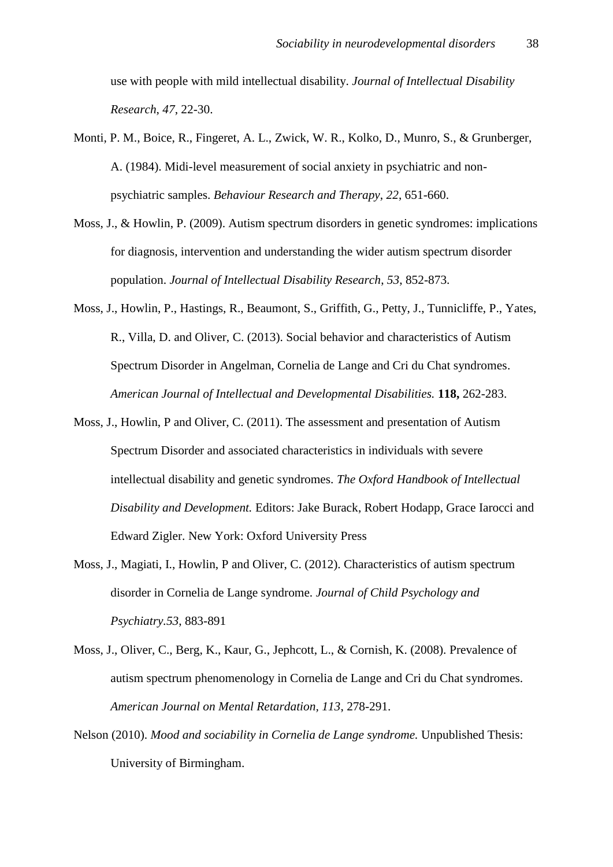use with people with mild intellectual disability. *Journal of Intellectual Disability Research*, *47*, 22-30.

- Monti, P. M., Boice, R., Fingeret, A. L., Zwick, W. R., Kolko, D., Munro, S., & Grunberger, A. (1984). Midi-level measurement of social anxiety in psychiatric and nonpsychiatric samples. *Behaviour Research and Therapy*, *22*, 651-660.
- Moss, J., & Howlin, P. (2009). Autism spectrum disorders in genetic syndromes: implications for diagnosis, intervention and understanding the wider autism spectrum disorder population. *Journal of Intellectual Disability Research*, *53*, 852-873.
- Moss, J., Howlin, P., Hastings, R., Beaumont, S., Griffith, G., Petty, J., Tunnicliffe, P., Yates, R., Villa, D. and Oliver, C. (2013). Social behavior and characteristics of Autism Spectrum Disorder in Angelman, Cornelia de Lange and Cri du Chat syndromes. *American Journal of Intellectual and Developmental Disabilities.* **118,** 262-283.
- Moss, J., Howlin, P and Oliver, C. (2011). The assessment and presentation of Autism Spectrum Disorder and associated characteristics in individuals with severe intellectual disability and genetic syndromes. *The Oxford Handbook of Intellectual Disability and Development.* Editors: Jake Burack, Robert Hodapp, Grace Iarocci and Edward Zigler. New York: Oxford University Press
- Moss, J., Magiati, I., Howlin, P and Oliver, C. (2012). Characteristics of autism spectrum disorder in Cornelia de Lange syndrome. *Journal of Child Psychology and Psychiatry.53*, 883-891
- Moss, J., Oliver, C., Berg, K., Kaur, G., Jephcott, L., & Cornish, K. (2008). Prevalence of autism spectrum phenomenology in Cornelia de Lange and Cri du Chat syndromes. *American Journal on Mental Retardation, 113*, 278-291.
- Nelson (2010). *Mood and sociability in Cornelia de Lange syndrome.* Unpublished Thesis: University of Birmingham.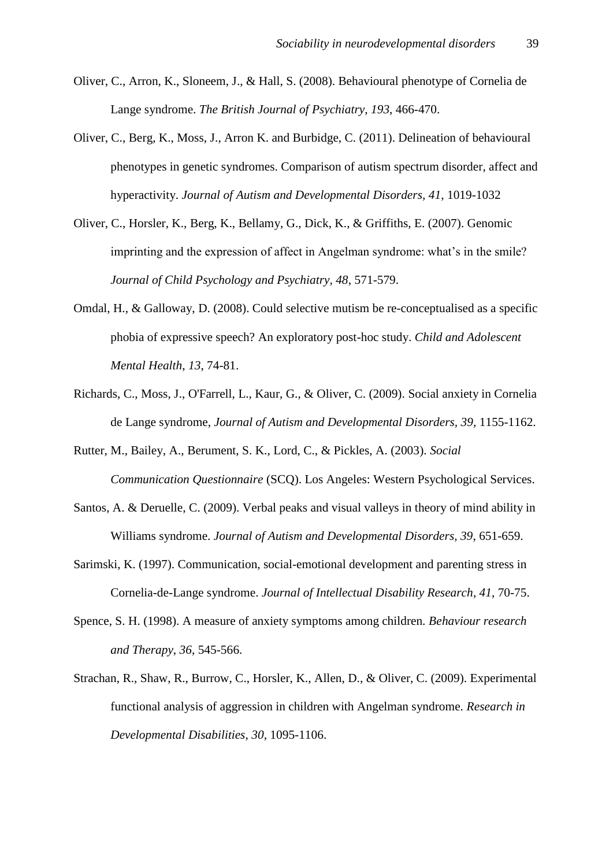- Oliver, C., Arron, K., Sloneem, J., & Hall, S. (2008). Behavioural phenotype of Cornelia de Lange syndrome. *The British Journal of Psychiatry*, *193*, 466-470.
- Oliver, C., Berg, K., Moss, J., Arron K. and Burbidge, C. (2011). Delineation of behavioural phenotypes in genetic syndromes. Comparison of autism spectrum disorder, affect and hyperactivity. *Journal of Autism and Developmental Disorders, 41,* 1019-1032
- Oliver, C., Horsler, K., Berg, K., Bellamy, G., Dick, K., & Griffiths, E. (2007). Genomic imprinting and the expression of affect in Angelman syndrome: what's in the smile? *Journal of Child Psychology and Psychiatry, 48*, 571-579.
- Omdal, H., & Galloway, D. (2008). Could selective mutism be re-conceptualised as a specific phobia of expressive speech? An exploratory post-hoc study. *Child and Adolescent Mental Health*, *13*, 74-81.
- Richards, C., Moss, J., O'Farrell, L., Kaur, G., & Oliver, C. (2009). Social anxiety in Cornelia de Lange syndrome, *Journal of Autism and Developmental Disorders, 39,* 1155-1162.
- Rutter, M., Bailey, A., Berument, S. K., Lord, C., & Pickles, A. (2003). *Social Communication Questionnaire* (SCQ). Los Angeles: Western Psychological Services.
- Santos, A. & Deruelle, C. (2009). Verbal peaks and visual valleys in theory of mind ability in Williams syndrome. *Journal of Autism and Developmental Disorders, 39*, 651-659.
- Sarimski, K. (1997). Communication, social-emotional development and parenting stress in Cornelia-de-Lange syndrome. *Journal of Intellectual Disability Research*, *41*, 70-75.
- Spence, S. H. (1998). A measure of anxiety symptoms among children. *Behaviour research and Therapy*, *36*, 545-566.
- Strachan, R., Shaw, R., Burrow, C., Horsler, K., Allen, D., & Oliver, C. (2009). Experimental functional analysis of aggression in children with Angelman syndrome. *Research in Developmental Disabilities*, *30*, 1095-1106.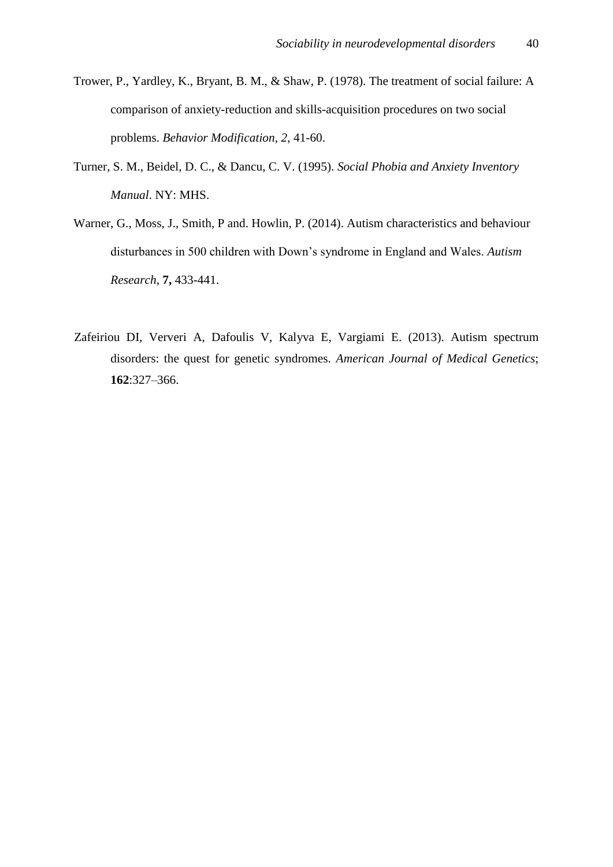- Trower, P., Yardley, K., Bryant, B. M., & Shaw, P. (1978). The treatment of social failure: A comparison of anxiety-reduction and skills-acquisition procedures on two social problems. *Behavior Modification, 2*, 41-60.
- Turner, S. M., Beidel, D. C., & Dancu, C. V. (1995). *Social Phobia and Anxiety Inventory Manual*. NY: MHS.
- Warner, G., Moss, J., Smith, P and. Howlin, P. (2014). Autism characteristics and behaviour disturbances in 500 children with Down's syndrome in England and Wales. *Autism Research,* **7,** 433-441.
- Zafeiriou DI, Ververi A, Dafoulis V, Kalyva E, Vargiami E. (2013). Autism spectrum disorders: the quest for genetic syndromes. *American Journal of Medical Genetics*; **162**:327–366.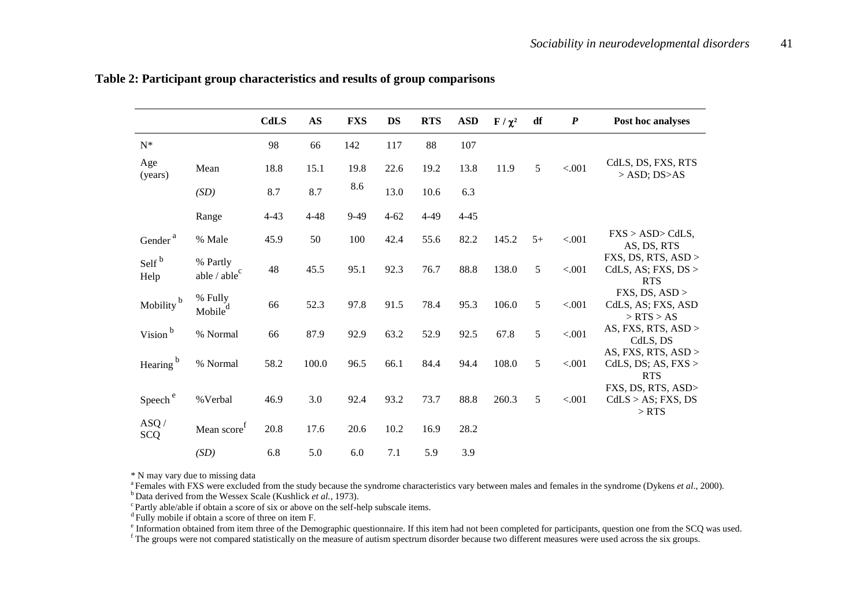|                           |                                | <b>CdLS</b> | $\mathbf{A}\mathbf{S}$ | <b>FXS</b> | <b>DS</b> | <b>RTS</b> | <b>ASD</b> | $\mathbf{F}/\chi^2$ | df   | $\boldsymbol{P}$ | Post hoc analyses                                          |
|---------------------------|--------------------------------|-------------|------------------------|------------|-----------|------------|------------|---------------------|------|------------------|------------------------------------------------------------|
| ${\bf N}^*$               |                                | 98          | 66                     | 142        | 117       | 88         | 107        |                     |      |                  |                                                            |
| Age<br>(years)            | Mean                           | 18.8        | 15.1                   | 19.8       | 22.6      | 19.2       | 13.8       | 11.9                | 5    | < .001           | CdLS, DS, FXS, RTS<br>$>$ ASD; DS $>$ AS                   |
|                           | (SD)                           | 8.7         | 8.7                    | 8.6        | 13.0      | 10.6       | 6.3        |                     |      |                  |                                                            |
|                           | Range                          | $4 - 43$    | $4 - 48$               | $9-49$     | $4 - 62$  | 4-49       | $4 - 45$   |                     |      |                  |                                                            |
| Gender <sup>a</sup>       | % Male                         | 45.9        | 50                     | 100        | 42.4      | 55.6       | 82.2       | 145.2               | $5+$ | < .001           | FXS > ASD > CdLS,<br>AS, DS, RTS                           |
| Self <sup>b</sup><br>Help | % Partly<br>able / $able^c$    | 48          | 45.5                   | 95.1       | 92.3      | 76.7       | 88.8       | 138.0               | 5    | < .001           | FXS, DS, RTS, ASD ><br>CdLS, AS; FXS, $DS >$<br><b>RTS</b> |
| Mobility <sup>b</sup>     | % Fully<br>Mobile <sup>d</sup> | 66          | 52.3                   | 97.8       | 91.5      | 78.4       | 95.3       | 106.0               | 5    | < .001           | FXS, DS, ASD ><br>CdLS, AS; FXS, ASD<br>$>$ RTS $>$ AS     |
| Vision <sup>b</sup>       | % Normal                       | 66          | 87.9                   | 92.9       | 63.2      | 52.9       | 92.5       | 67.8                | 5    | < .001           | AS, FXS, RTS, ASD ><br>CdLS, DS                            |
| Hearing <sup>b</sup>      | % Normal                       | 58.2        | 100.0                  | 96.5       | 66.1      | 84.4       | 94.4       | 108.0               | 5    | < .001           | AS, FXS, RTS, $ASD$<br>CdLS, DS; AS, FXS ><br><b>RTS</b>   |
| Speech <sup>e</sup>       | % Verbal                       | 46.9        | 3.0                    | 92.4       | 93.2      | 73.7       | 88.8       | 260.3               | 5    | < .001           | FXS, DS, RTS, ASD><br>$CdLS > AS$ ; FXS, DS<br>$>$ RTS     |
| ASQ/<br><b>SCQ</b>        | Mean $score^f$                 | 20.8        | 17.6                   | 20.6       | 10.2      | 16.9       | 28.2       |                     |      |                  |                                                            |
|                           | (SD)                           | 6.8         | 5.0                    | 6.0        | 7.1       | 5.9        | 3.9        |                     |      |                  |                                                            |

**Table 2: Participant group characteristics and results of group comparisons** 

\* N may vary due to missing data

<sup>a</sup> Females with FXS were excluded from the study because the syndrome characteristics vary between males and females in the syndrome (Dykens *et al.*, 2000). <sup>b</sup> Data derived from the Wessex Scale (Kushlick *et al.*, 1973).

 $\degree$ Partly able/able if obtain a score of six or above on the self-help subscale items.

 $d$  Fully mobile if obtain a score of three on item F.

<sup>e</sup> Information obtained from item three of the Demographic questionnaire. If this item had not been completed for participants, question one from the SCQ was used.

<sup>f</sup> The groups were not compared statistically on the measure of autism spectrum disorder because two different measures were used across the six groups.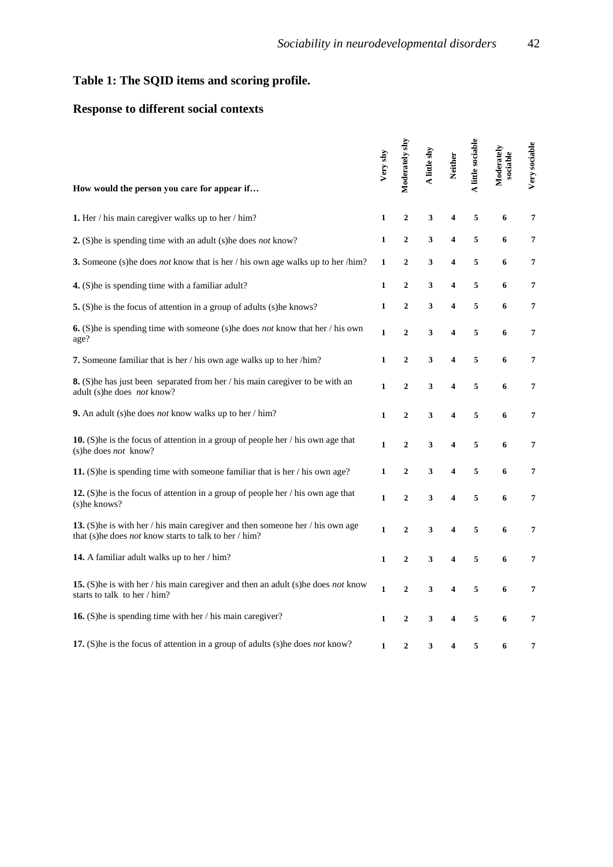## **Table 1: The SQID items and scoring profile.**

### **Response to different social contexts**

| How would the person you care for appear if                                                                                                    | Very shy     | Moderately shy | A little shy | <b>Neither</b>          | A little sociable | Moderately<br>sociable | Very sociable  |
|------------------------------------------------------------------------------------------------------------------------------------------------|--------------|----------------|--------------|-------------------------|-------------------|------------------------|----------------|
| 1. Her / his main caregiver walks up to her / him?                                                                                             | $\mathbf{1}$ | $\overline{2}$ | 3            | $\overline{\mathbf{4}}$ | 5                 | 6                      | $\overline{7}$ |
| 2. (S) he is spending time with an adult (s) he does <i>not</i> know?                                                                          | $\mathbf{1}$ | $\overline{2}$ | 3            | $\overline{\mathbf{4}}$ | 5                 | 6                      | 7              |
| 3. Someone (s) he does <i>not</i> know that is her / his own age walks up to her /him?                                                         | $\mathbf{1}$ | $\overline{2}$ | 3            | 4                       | 5                 | 6                      | 7              |
| 4. (S) he is spending time with a familiar adult?                                                                                              | $\mathbf{1}$ | $\overline{2}$ | 3            | 4                       | 5                 | 6                      | $\overline{7}$ |
| 5. (S) he is the focus of attention in a group of adults (s) he knows?                                                                         | $\mathbf{1}$ | $\mathbf{2}$   | 3            | 4                       | 5                 | 6                      | 7              |
| <b>6.</b> (S) he is spending time with someone (s) he does <i>not</i> know that her / his own<br>age?                                          | $\mathbf{1}$ | $\overline{2}$ | 3            | 4                       | 5                 | 6                      | 7              |
| 7. Someone familiar that is her / his own age walks up to her /him?                                                                            | $\mathbf{1}$ | $\overline{2}$ | 3            | $\overline{\mathbf{4}}$ | 5                 | 6                      | 7              |
| 8. (S) he has just been separated from her / his main caregiver to be with an<br>adult (s)he does not know?                                    | $\mathbf{1}$ | $\overline{2}$ | 3            | 4                       | 5                 | 6                      | 7              |
| 9. An adult (s) he does <i>not</i> know walks up to her $/\text{him?}$                                                                         | $\mathbf{1}$ | $\overline{2}$ | 3            | 4                       | 5                 | 6                      | $\overline{7}$ |
| 10. (S) he is the focus of attention in a group of people her $/$ his own age that<br>(s)he does <i>not</i> know?                              | $\mathbf{1}$ | $\mathbf{2}$   | 3            | 4                       | 5                 | 6                      | $\overline{7}$ |
| 11. (S) he is spending time with someone familiar that is her / his own age?                                                                   | 1            | $\overline{2}$ | 3            | 4                       | 5                 | 6                      | 7              |
| 12. (S) he is the focus of attention in a group of people her $\ell$ his own age that<br>(s)he knows?                                          | $\mathbf{1}$ | $\overline{2}$ | 3            | $\overline{\mathbf{4}}$ | 5                 | 6                      | $\overline{7}$ |
| 13. (S) he is with her / his main caregiver and then someone her / his own age<br>that (s)he does <i>not</i> know starts to talk to her / him? | $\mathbf{1}$ | $\overline{2}$ | 3            | 4                       | 5                 | 6                      | 7              |
| 14. A familiar adult walks up to her / him?                                                                                                    | $\mathbf{1}$ | $\overline{2}$ | 3            | $\overline{\mathbf{4}}$ | 5                 | 6                      | 7              |
| 15. (S) he is with her / his main caregiver and then an adult (s) he does <i>not</i> know<br>starts to talk to her / him?                      | $\mathbf{1}$ | $\overline{2}$ | 3            | 4                       | 5                 | 6                      | 7              |
| 16. (S) he is spending time with her / his main caregiver?                                                                                     | $\mathbf{1}$ | $\overline{2}$ | 3            | 4                       | 5                 | 6                      | 7              |
| 17. (S) he is the focus of attention in a group of adults (s) he does not know?                                                                | 1            | 2              | 3            | 4                       | 5                 | 6                      | 7              |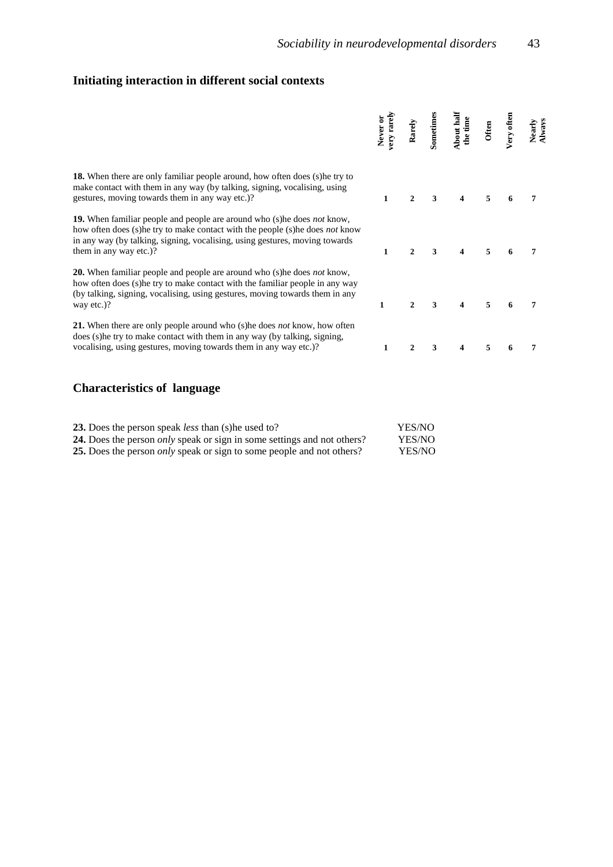## **Initiating interaction in different social contexts**

|                                                                                                                                                                                                                                                                                          | very rarely<br>Never or | Rarely       | Sometimes | About half<br>the time | Often | Very often | Nearly<br>Always |
|------------------------------------------------------------------------------------------------------------------------------------------------------------------------------------------------------------------------------------------------------------------------------------------|-------------------------|--------------|-----------|------------------------|-------|------------|------------------|
| <b>18.</b> When there are only familiar people around, how often does (s) he try to<br>make contact with them in any way (by talking, signing, vocalising, using<br>gestures, moving towards them in any way etc.)?                                                                      | 1                       | $\mathbf{2}$ | 3         |                        | 5     |            |                  |
| <b>19.</b> When familiar people and people are around who (s) he does <i>not</i> know,<br>how often does (s) he try to make contact with the people (s) he does <i>not</i> know<br>in any way (by talking, signing, vocalising, using gestures, moving towards<br>them in any way etc.)? | 1                       | $\mathbf{2}$ | 3         |                        | 5     |            | 7                |
| <b>20.</b> When familiar people and people are around who (s) he does <i>not</i> know,<br>how often does (s) he try to make contact with the familiar people in any way<br>(by talking, signing, vocalising, using gestures, moving towards them in any<br>way etc.)?                    | $\mathbf{1}$            | $\mathbf{2}$ | 3         |                        | 5     |            | 7                |
| <b>21.</b> When there are only people around who (s) he does <i>not</i> know, how often<br>does (s) he try to make contact with them in any way (by talking, signing,<br>vocalising, using gestures, moving towards them in any way etc.)?                                               | 1                       | $\mathbf{2}$ | 3         | 4                      | 5     |            | 7                |
|                                                                                                                                                                                                                                                                                          |                         |              |           |                        |       |            |                  |

## **Characteristics of language**

| <b>23.</b> Does the person speak <i>less</i> than (s) he used to?                     | YES/NO        |
|---------------------------------------------------------------------------------------|---------------|
| <b>24.</b> Does the person <i>only</i> speak or sign in some settings and not others? | <b>YES/NO</b> |
| 25. Does the person <i>only</i> speak or sign to some people and not others?          | <b>YES/NO</b> |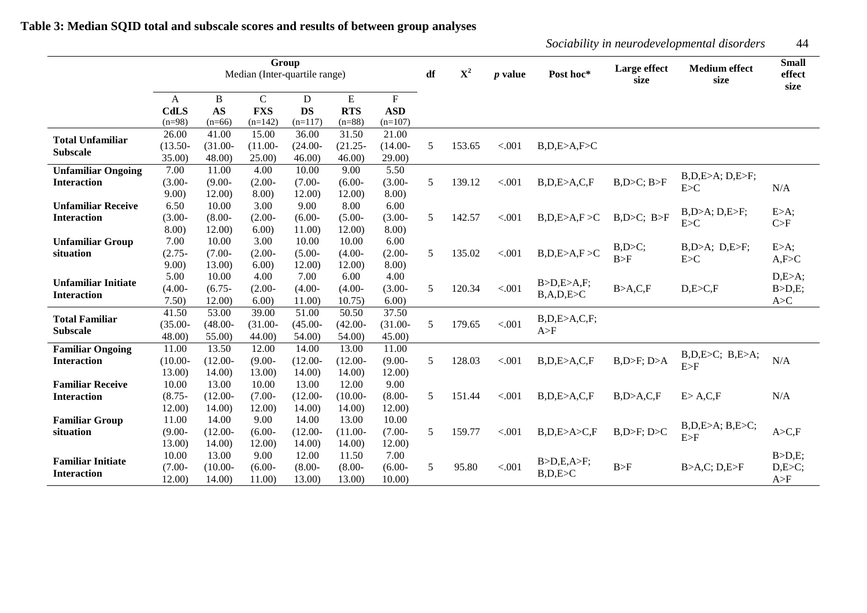|                            |             |            |              | Group<br>Median (Inter-quartile range) |            |                           | df | $\mathbf{X}^2$ | $p$ value | Post hoc*       | Large effect<br>size | <b>Medium effect</b><br>size | <b>Small</b><br>effect<br>size |
|----------------------------|-------------|------------|--------------|----------------------------------------|------------|---------------------------|----|----------------|-----------|-----------------|----------------------|------------------------------|--------------------------------|
|                            | A           | B          | $\mathsf{C}$ | D                                      | ${\bf E}$  | $\boldsymbol{\mathrm{F}}$ |    |                |           |                 |                      |                              |                                |
|                            | <b>CdLS</b> | <b>AS</b>  | <b>FXS</b>   | <b>DS</b>                              | <b>RTS</b> | <b>ASD</b>                |    |                |           |                 |                      |                              |                                |
|                            | $(n=98)$    | $(n=66)$   | $(n=142)$    | $(n=117)$                              | $(n=88)$   | $(n=107)$                 |    |                |           |                 |                      |                              |                                |
| <b>Total Unfamiliar</b>    | 26.00       | 41.00      | 15.00        | 36.00                                  | 31.50      | 21.00                     |    |                |           |                 |                      |                              |                                |
| <b>Subscale</b>            | $(13.50 -$  | $(31.00 -$ | $(11.00 -$   | $(24.00 -$                             | $(21.25 -$ | $(14.00 -$                | 5  | 153.65         | < .001    | B,D,E>A,F>C     |                      |                              |                                |
|                            | 35.00)      | 48.00      | 25.00)       | 46.00                                  | 46.00      | 29.00                     |    |                |           |                 |                      |                              |                                |
| <b>Unfamiliar Ongoing</b>  | 7.00        | 11.00      | 4.00         | 10.00                                  | 9.00       | 5.50                      |    |                |           |                 |                      |                              |                                |
| <b>Interaction</b>         | $(3.00 -$   | $(9.00 -$  | $(2.00 -$    | $(7.00 -$                              | $(6.00 -$  | $(3.00 -$                 | 5  | 139.12         | < .001    | B,D,E>A,C,F     | $B, D > C$ ; $B > F$ | B,D,E>A; D,E>F;              |                                |
|                            | 9.00)       | 12.00)     | 8.00)        | 12.00)                                 | 12.00)     | 8.00)                     |    |                |           |                 |                      | E>C                          | N/A                            |
| <b>Unfamiliar Receive</b>  | 6.50        | 10.00      | 3.00         | 9.00                                   | 8.00       | 6.00                      |    |                |           |                 |                      |                              |                                |
| <b>Interaction</b>         | $(3.00 -$   | $(8.00 -$  | $(2.00 -$    | $(6.00 -$                              | $(5.00 -$  | $(3.00 -$                 | 5  | 142.57         | < .001    | B,D,E > A,F > C | $B, D > C$ ; $B > F$ | $B, D > A$ ; $D, E > F$ ;    | E>A;                           |
|                            | 8.00)       | 12.00)     | 6.00         | 11.00)                                 | 12.00      | 8.00)                     |    |                |           |                 |                      | E > C                        | C>F                            |
| <b>Unfamiliar Group</b>    | 7.00        | 10.00      | 3.00         | 10.00                                  | 10.00      | 6.00                      |    |                |           |                 |                      |                              |                                |
| situation                  | $(2.75 -$   | $(7.00 -$  | $(2.00 -$    | $(5.00 -$                              | $(4.00 -$  | $(2.00 -$                 | 5  | 135.02         | < .001    | B,D,E>A,F>C     | B, D > C;            | $B, D > A$ ; $D, E > F$ ;    | E>A;                           |
|                            | 9.00)       | 13.00)     | 6.00)        | 12.00)                                 | 12.00)     | 8.00)                     |    |                |           |                 | B>F                  | E > C                        | A, F > C                       |
|                            | 5.00        | 10.00      | 4.00         | 7.00                                   | 6.00       | 4.00                      |    |                |           |                 |                      |                              | D,E>A;                         |
| <b>Unfamiliar Initiate</b> | $(4.00 -$   | $(6.75 -$  | $(2.00 -$    | $(4.00 -$                              | $(4.00 -$  | $(3.00 -$                 | 5  | 120.34         | < .001    | B>D,E>A,F;      | B > A, C, F          | D, E > C, F                  | B>D,E;                         |
| <b>Interaction</b>         | 7.50)       | 12.00)     | 6.00)        | 11.00                                  | 10.75)     | 6.00)                     |    |                |           | B, A, D, E > C  |                      |                              | A > C                          |
|                            | 41.50       | 53.00      | 39.00        | 51.00                                  | 50.50      | 37.50                     |    |                |           |                 |                      |                              |                                |
| <b>Total Familiar</b>      | $(35.00 -$  | $(48.00 -$ | $(31.00 -$   | $(45.00 -$                             | $(42.00 -$ | $(31.00 -$                | 5  | 179.65         | < .001    | B,D,E>A,C,F;    |                      |                              |                                |
| <b>Subscale</b>            | 48.00       | 55.00      | 44.00        | 54.00                                  | 54.00      | 45.00                     |    |                |           | A>F             |                      |                              |                                |
| <b>Familiar Ongoing</b>    | 11.00       | 13.50      | 12.00        | 14.00                                  | 13.00      | 11.00                     |    |                |           |                 |                      |                              |                                |
| <b>Interaction</b>         | $(10.00 -$  | $(12.00 -$ | $(9.00 -$    | $(12.00 -$                             | $(12.00 -$ | $(9.00 -$                 | 5  | 128.03         | < .001    | B,D,E>A,C,F     | $B, D > F$ ; $D > A$ | $B, D, E > C$ ; $B, E > A$ ; | N/A                            |
|                            | 13.00)      | 14.00)     | 13.00        | 14.00)                                 | 14.00      | 12.00)                    |    |                |           |                 |                      | E>F                          |                                |
| <b>Familiar Receive</b>    | 10.00       | 13.00      | 10.00        | 13.00                                  | 12.00      | 9.00                      |    |                |           |                 |                      |                              |                                |
| <b>Interaction</b>         | $(8.75 -$   | $(12.00 -$ | $(7.00 -$    | $(12.00 -$                             | $(10.00 -$ | $(8.00 -$                 | 5  | 151.44         | < .001    | B,D,E>A,C,F     | B, D > A, C, F       | E > A, C, F                  | N/A                            |
|                            | 12.00)      | 14.00      | 12.00)       | 14.00                                  | 14.00      | 12.00                     |    |                |           |                 |                      |                              |                                |
| <b>Familiar Group</b>      | 11.00       | 14.00      | 9.00         | 14.00                                  | 13.00      | 10.00                     |    |                |           |                 |                      |                              |                                |
| situation                  | $(9.00 -$   | $(12.00 -$ | $(6.00 -$    | $(12.00 -$                             | $(11.00 -$ | $(7.00 -$                 | 5  | 159.77         | < .001    | B,D,E>A>C,F     | $B, D > F$ ; $D > C$ | B,D,E>A; B,E>C;              | A > C, F                       |
|                            | 13.00)      | 14.00      | 12.00)       | 14.00)                                 | 14.00      | 12.00)                    |    |                |           |                 |                      | E>F                          |                                |
|                            | 10.00       | 13.00      | 9.00         | 12.00                                  | 11.50      | 7.00                      |    |                |           |                 |                      |                              | B>D,E;                         |
| <b>Familiar Initiate</b>   | $(7.00 -$   | $(10.00 -$ | $(6.00 -$    | $(8.00 -$                              | $(8.00 -$  | $(6.00 -$                 | 5  | 95.80          | < .001    | B>D,E,A>F;      | B>F                  | B>A,C; D,E>F                 | D,E>C;                         |
| <b>Interaction</b>         | 12.00       | 14.00      | 11.00        | 13.00                                  | 13.00      | 10.00                     |    |                |           | B, D, E > C     |                      |                              | A>F                            |

## **Table 3: Median SQID total and subscale scores and results of between group analyses**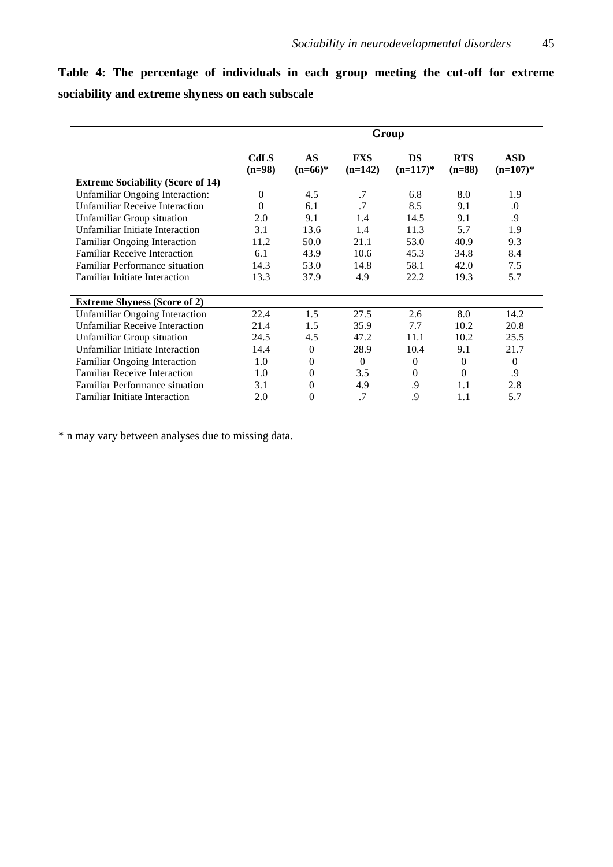**Table 4: The percentage of individuals in each group meeting the cut-off for extreme sociability and extreme shyness on each subscale**

|                                          | Group            |                 |                  |                   |                        |                           |  |  |
|------------------------------------------|------------------|-----------------|------------------|-------------------|------------------------|---------------------------|--|--|
|                                          | CdLS<br>$(n=98)$ | AS<br>$(n=66)*$ | FXS<br>$(n=142)$ | DS<br>$(n=117)^*$ | <b>RTS</b><br>$(n=88)$ | <b>ASD</b><br>$(n=107)$ * |  |  |
| <b>Extreme Sociability (Score of 14)</b> |                  |                 |                  |                   |                        |                           |  |  |
| <b>Unfamiliar Ongoing Interaction:</b>   | $\Omega$         | 4.5             | .7               | 6.8               | 8.0                    | 1.9                       |  |  |
| <b>Unfamiliar Receive Interaction</b>    | $\Omega$         | 6.1             | .7               | 8.5               | 9.1                    | $\Omega$ .                |  |  |
| <b>Unfamiliar Group situation</b>        | 2.0              | 9.1             | 1.4              | 14.5              | 9.1                    | .9                        |  |  |
| Unfamiliar Initiate Interaction          | 3.1              | 13.6            | 1.4              | 11.3              | 5.7                    | 1.9                       |  |  |
| Familiar Ongoing Interaction             | 11.2             | 50.0            | 21.1             | 53.0              | 40.9                   | 9.3                       |  |  |
| <b>Familiar Receive Interaction</b>      | 6.1              | 43.9            | 10.6             | 45.3              | 34.8                   | 8.4                       |  |  |
| <b>Familiar Performance situation</b>    | 14.3             | 53.0            | 14.8             | 58.1              | 42.0                   | 7.5                       |  |  |
| <b>Familiar Initiate Interaction</b>     | 13.3             | 37.9            | 4.9              | 22.2              | 19.3                   | 5.7                       |  |  |
| <b>Extreme Shyness (Score of 2)</b>      |                  |                 |                  |                   |                        |                           |  |  |
| <b>Unfamiliar Ongoing Interaction</b>    | 22.4             | 1.5             | 27.5             | 2.6               | 8.0                    | 14.2                      |  |  |
| <b>Unfamiliar Receive Interaction</b>    | 21.4             | 1.5             | 35.9             | 7.7               | 10.2                   | 20.8                      |  |  |
| <b>Unfamiliar Group situation</b>        | 24.5             | 4.5             | 47.2             | 11.1              | 10.2                   | 25.5                      |  |  |
| Unfamiliar Initiate Interaction          | 14.4             | $\mathbf{0}$    | 28.9             | 10.4              | 9.1                    | 21.7                      |  |  |
| Familiar Ongoing Interaction             | 1.0              | 0               | $\overline{0}$   | $\theta$          | $\overline{0}$         | $\mathbf{0}$              |  |  |
| <b>Familiar Receive Interaction</b>      | 1.0              | 0               | 3.5              | $\theta$          | $\Omega$               | .9                        |  |  |
| <b>Familiar Performance situation</b>    | 3.1              | 0               | 4.9              | .9                | 1.1                    | 2.8                       |  |  |
| <b>Familiar Initiate Interaction</b>     | 2.0              | 0               | .7               | .9                | 1.1                    | 5.7                       |  |  |

\* n may vary between analyses due to missing data.